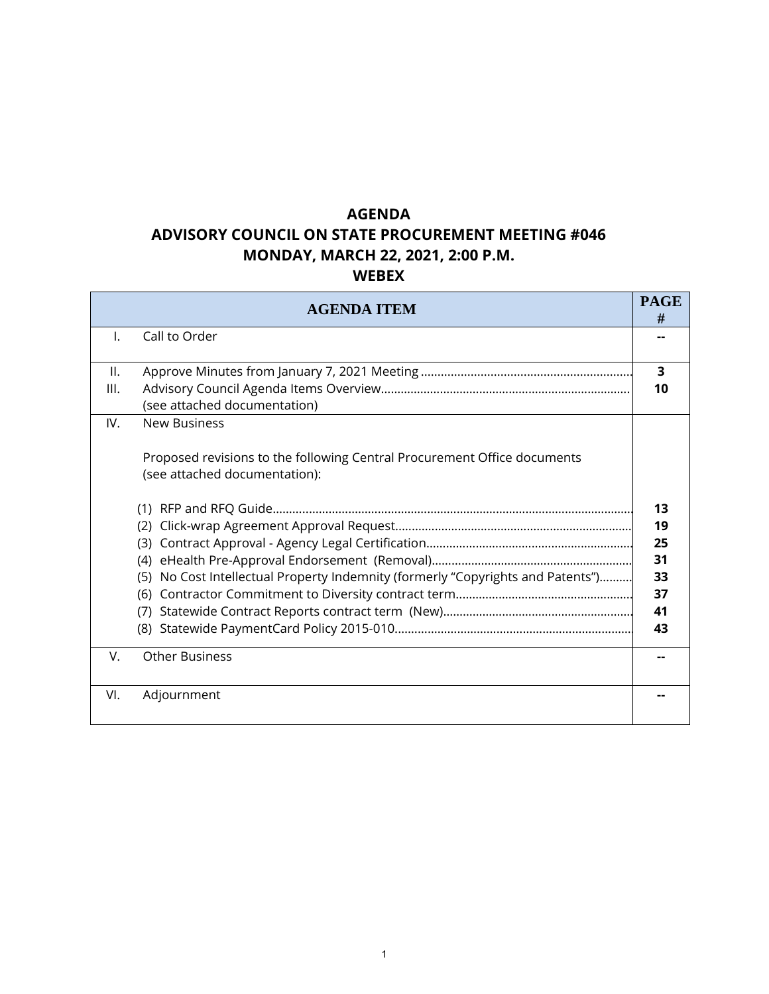### **AGENDA**

### **ADVISORY COUNCIL ON STATE PROCUREMENT MEETING #046 MONDAY, MARCH 22, 2021, 2:00 P.M.**

**WEBEX** 

|                 | <b>AGENDA ITEM</b>                                                                                        | <b>PAGE</b><br># |
|-----------------|-----------------------------------------------------------------------------------------------------------|------------------|
| I.              | Call to Order                                                                                             |                  |
| $\mathbf{II}$ . |                                                                                                           | 3                |
| III.            | (see attached documentation)                                                                              | 10               |
| IV.             | <b>New Business</b>                                                                                       |                  |
|                 | Proposed revisions to the following Central Procurement Office documents<br>(see attached documentation): |                  |
|                 |                                                                                                           | 13               |
|                 | (2)                                                                                                       | 19               |
|                 | (3)                                                                                                       | 25               |
|                 | (4)                                                                                                       | 31               |
|                 | No Cost Intellectual Property Indemnity (formerly "Copyrights and Patents")<br>(5)<br>(6)                 | 33<br>37         |
|                 | (7)                                                                                                       | 41               |
|                 |                                                                                                           | 43               |
| V.              | <b>Other Business</b>                                                                                     |                  |
| VI.             | Adjournment                                                                                               |                  |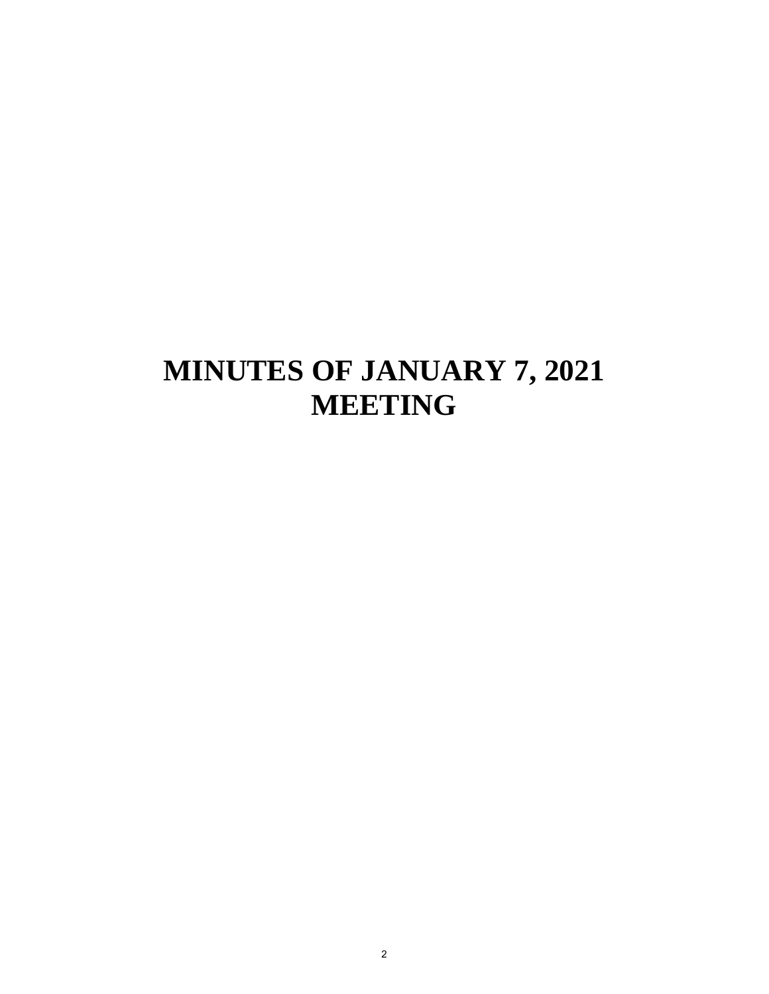## **MINUTES OF JANUARY 7, 2021 MEETING**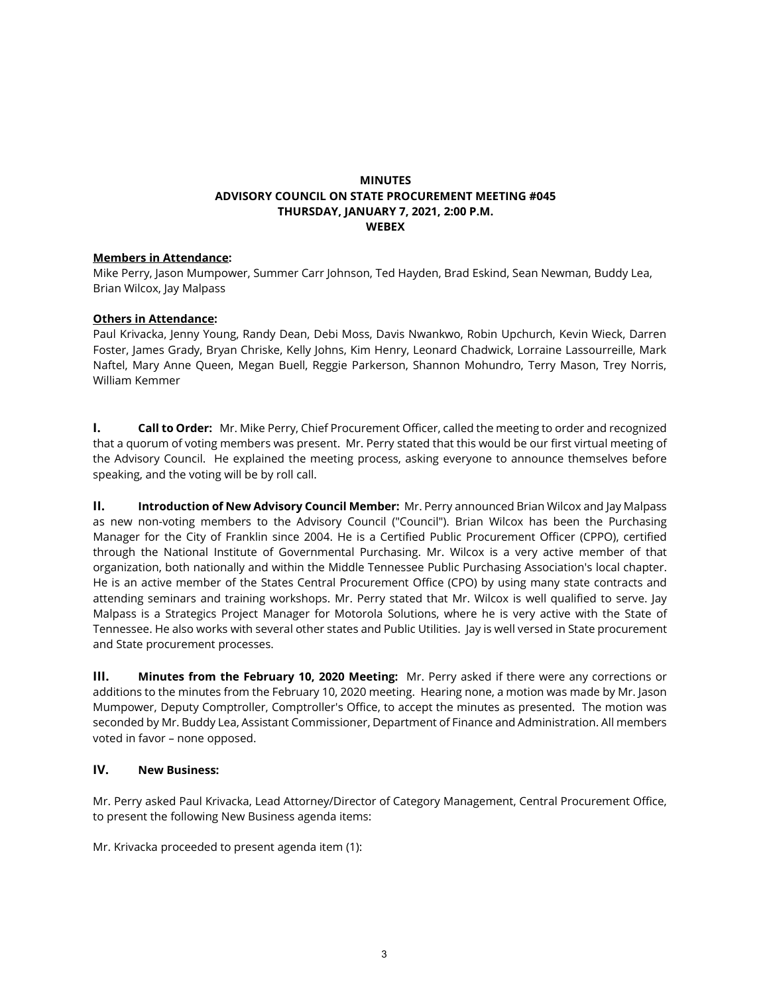#### **MINUTES ADVISORY COUNCIL ON STATE PROCUREMENT MEETING #045 THURSDAY, JANUARY 7, 2021, 2:00 P.M. WEBEX**

#### **Members in Attendance:**

Mike Perry, Jason Mumpower, Summer Carr Johnson, Ted Hayden, Brad Eskind, Sean Newman, Buddy Lea, Brian Wilcox, Jay Malpass

#### **Others in Attendance:**

Paul Krivacka, Jenny Young, Randy Dean, Debi Moss, Davis Nwankwo, Robin Upchurch, Kevin Wieck, Darren Foster, James Grady, Bryan Chriske, Kelly Johns, Kim Henry, Leonard Chadwick, Lorraine Lassourreille, Mark Naftel, Mary Anne Queen, Megan Buell, Reggie Parkerson, Shannon Mohundro, Terry Mason, Trey Norris, William Kemmer

**I. Call to Order:** Mr. Mike Perry, Chief Procurement Officer, called the meeting to order and recognized that a quorum of voting members was present. Mr. Perry stated that this would be our first virtual meeting of the Advisory Council. He explained the meeting process, asking everyone to announce themselves before speaking, and the voting will be by roll call.

**II. Introduction of New Advisory Council Member:** Mr. Perry announced Brian Wilcox and Jay Malpass as new non-voting members to the Advisory Council ("Council"). Brian Wilcox has been the Purchasing Manager for the City of Franklin since 2004. He is a Certified Public Procurement Officer (CPPO), certified through the National Institute of Governmental Purchasing. Mr. Wilcox is a very active member of that organization, both nationally and within the Middle Tennessee Public Purchasing Association's local chapter. He is an active member of the States Central Procurement Office (CPO) by using many state contracts and attending seminars and training workshops. Mr. Perry stated that Mr. Wilcox is well qualified to serve. Jay Malpass is a Strategics Project Manager for Motorola Solutions, where he is very active with the State of Tennessee. He also works with several other states and Public Utilities. Jay is well versed in State procurement and State procurement processes.

**III. Minutes from the February 10, 2020 Meeting:** Mr. Perry asked if there were any corrections or additions to the minutes from the February 10, 2020 meeting. Hearing none, a motion was made by Mr. Jason Mumpower, Deputy Comptroller, Comptroller's Office, to accept the minutes as presented. The motion was seconded by Mr. Buddy Lea, Assistant Commissioner, Department of Finance and Administration. All members voted in favor – none opposed.

#### **IV. New Business:**

Mr. Perry asked Paul Krivacka, Lead Attorney/Director of Category Management, Central Procurement Office, to present the following New Business agenda items:

Mr. Krivacka proceeded to present agenda item (1):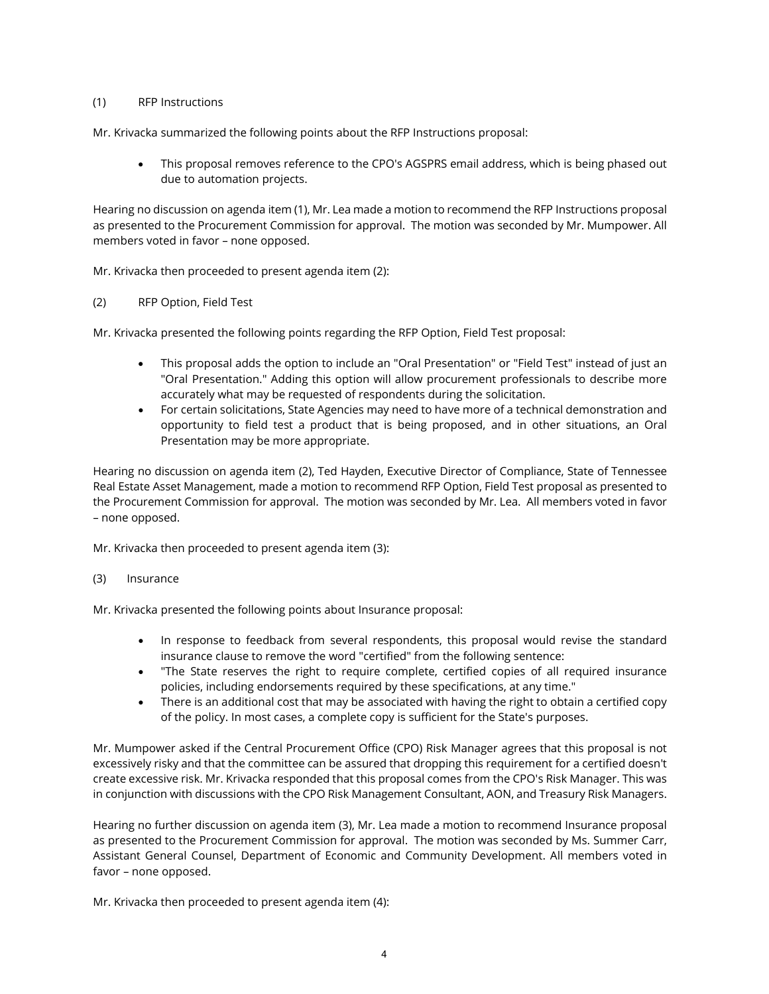#### (1) RFP Instructions

Mr. Krivacka summarized the following points about the RFP Instructions proposal:

• This proposal removes reference to the CPO's AGSPRS email address, which is being phased out due to automation projects.

Hearing no discussion on agenda item (1), Mr. Lea made a motion to recommend the RFP Instructions proposal as presented to the Procurement Commission for approval. The motion was seconded by Mr. Mumpower. All members voted in favor – none opposed.

Mr. Krivacka then proceeded to present agenda item (2):

#### (2) RFP Option, Field Test

Mr. Krivacka presented the following points regarding the RFP Option, Field Test proposal:

- This proposal adds the option to include an "Oral Presentation" or "Field Test" instead of just an "Oral Presentation." Adding this option will allow procurement professionals to describe more accurately what may be requested of respondents during the solicitation.
- For certain solicitations, State Agencies may need to have more of a technical demonstration and opportunity to field test a product that is being proposed, and in other situations, an Oral Presentation may be more appropriate.

Hearing no discussion on agenda item (2), Ted Hayden, Executive Director of Compliance, State of Tennessee Real Estate Asset Management, made a motion to recommend RFP Option, Field Test proposal as presented to the Procurement Commission for approval. The motion was seconded by Mr. Lea. All members voted in favor – none opposed.

Mr. Krivacka then proceeded to present agenda item (3):

#### (3) Insurance

Mr. Krivacka presented the following points about Insurance proposal:

- In response to feedback from several respondents, this proposal would revise the standard insurance clause to remove the word "certified" from the following sentence:
- "The State reserves the right to require complete, certified copies of all required insurance policies, including endorsements required by these specifications, at any time."
- There is an additional cost that may be associated with having the right to obtain a certified copy of the policy. In most cases, a complete copy is sufficient for the State's purposes.

Mr. Mumpower asked if the Central Procurement Office (CPO) Risk Manager agrees that this proposal is not excessively risky and that the committee can be assured that dropping this requirement for a certified doesn't create excessive risk. Mr. Krivacka responded that this proposal comes from the CPO's Risk Manager. This was in conjunction with discussions with the CPO Risk Management Consultant, AON, and Treasury Risk Managers.

Hearing no further discussion on agenda item (3), Mr. Lea made a motion to recommend Insurance proposal as presented to the Procurement Commission for approval. The motion was seconded by Ms. Summer Carr, Assistant General Counsel, Department of Economic and Community Development. All members voted in favor – none opposed.

Mr. Krivacka then proceeded to present agenda item (4):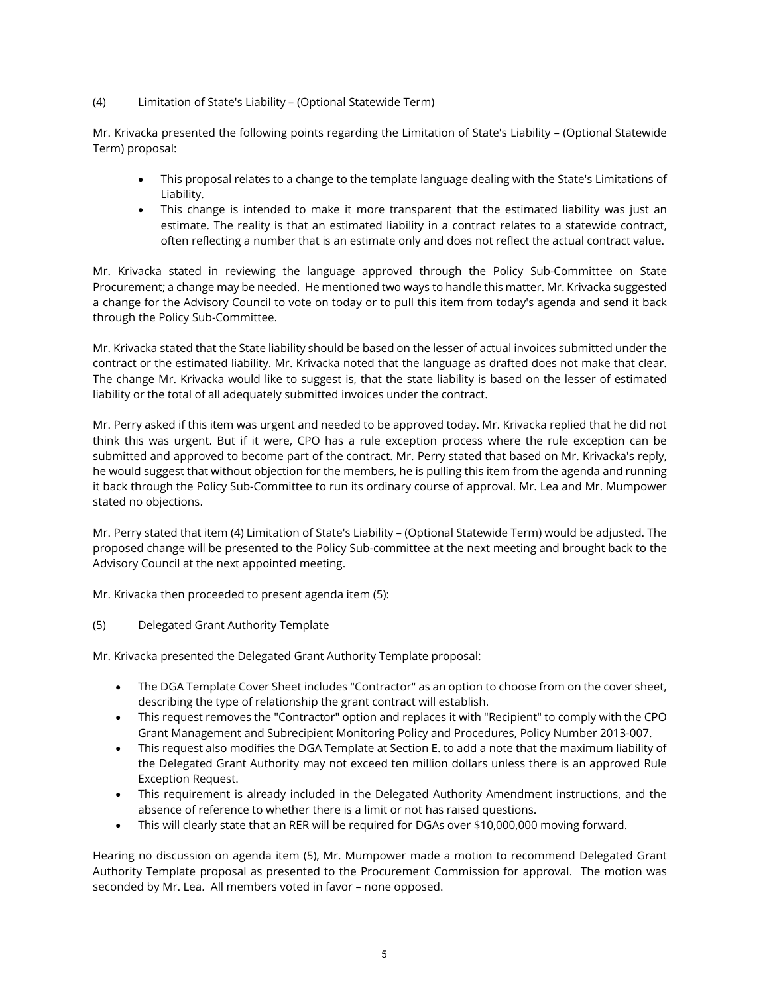#### (4) Limitation of State's Liability – (Optional Statewide Term)

Mr. Krivacka presented the following points regarding the Limitation of State's Liability – (Optional Statewide Term) proposal:

- This proposal relates to a change to the template language dealing with the State's Limitations of Liability.
- This change is intended to make it more transparent that the estimated liability was just an estimate. The reality is that an estimated liability in a contract relates to a statewide contract, often reflecting a number that is an estimate only and does not reflect the actual contract value.

Mr. Krivacka stated in reviewing the language approved through the Policy Sub-Committee on State Procurement; a change may be needed. He mentioned two ways to handle this matter. Mr. Krivacka suggested a change for the Advisory Council to vote on today or to pull this item from today's agenda and send it back through the Policy Sub-Committee.

Mr. Krivacka stated that the State liability should be based on the lesser of actual invoices submitted under the contract or the estimated liability. Mr. Krivacka noted that the language as drafted does not make that clear. The change Mr. Krivacka would like to suggest is, that the state liability is based on the lesser of estimated liability or the total of all adequately submitted invoices under the contract.

Mr. Perry asked if this item was urgent and needed to be approved today. Mr. Krivacka replied that he did not think this was urgent. But if it were, CPO has a rule exception process where the rule exception can be submitted and approved to become part of the contract. Mr. Perry stated that based on Mr. Krivacka's reply, he would suggest that without objection for the members, he is pulling this item from the agenda and running it back through the Policy Sub-Committee to run its ordinary course of approval. Mr. Lea and Mr. Mumpower stated no objections.

Mr. Perry stated that item (4) Limitation of State's Liability – (Optional Statewide Term) would be adjusted. The proposed change will be presented to the Policy Sub-committee at the next meeting and brought back to the Advisory Council at the next appointed meeting.

Mr. Krivacka then proceeded to present agenda item (5):

(5) Delegated Grant Authority Template

Mr. Krivacka presented the Delegated Grant Authority Template proposal:

- The DGA Template Cover Sheet includes "Contractor" as an option to choose from on the cover sheet, describing the type of relationship the grant contract will establish.
- This request removes the "Contractor" option and replaces it with "Recipient" to comply with the CPO Grant Management and Subrecipient Monitoring Policy and Procedures, Policy Number 2013-007.
- This request also modifies the DGA Template at Section E. to add a note that the maximum liability of the Delegated Grant Authority may not exceed ten million dollars unless there is an approved Rule Exception Request.
- This requirement is already included in the Delegated Authority Amendment instructions, and the absence of reference to whether there is a limit or not has raised questions.
- This will clearly state that an RER will be required for DGAs over \$10,000,000 moving forward.

Hearing no discussion on agenda item (5), Mr. Mumpower made a motion to recommend Delegated Grant Authority Template proposal as presented to the Procurement Commission for approval. The motion was seconded by Mr. Lea. All members voted in favor – none opposed.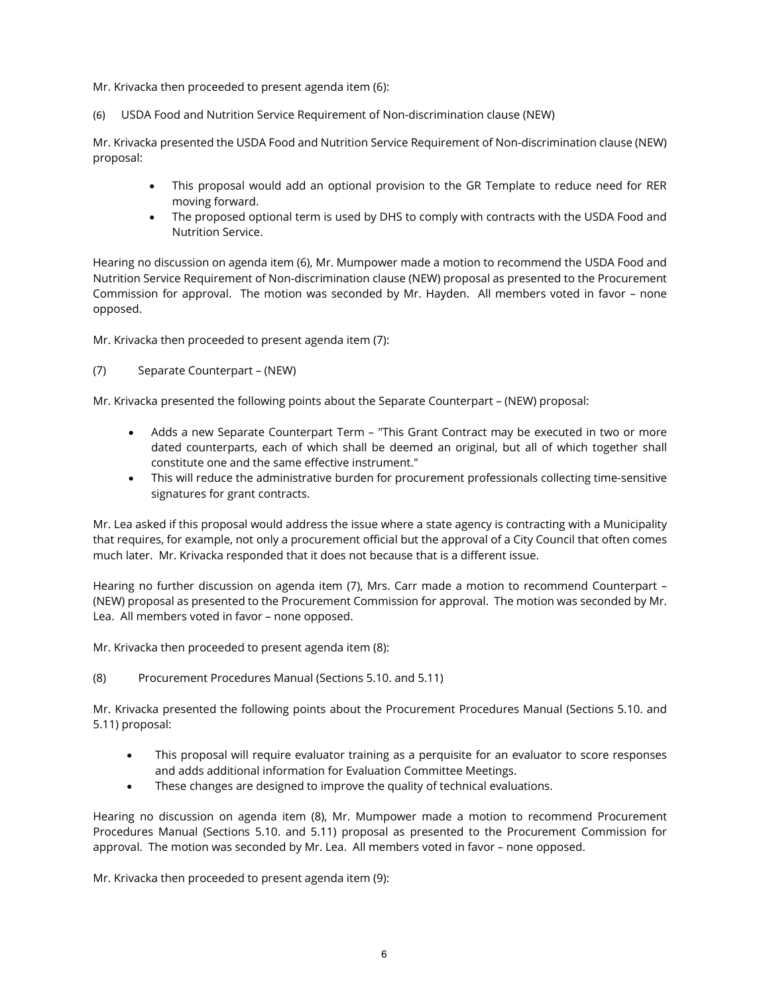Mr. Krivacka then proceeded to present agenda item (6):

(6) USDA Food and Nutrition Service Requirement of Non-discrimination clause (NEW)

Mr. Krivacka presented the USDA Food and Nutrition Service Requirement of Non-discrimination clause (NEW) proposal:

- This proposal would add an optional provision to the GR Template to reduce need for RER moving forward.
- The proposed optional term is used by DHS to comply with contracts with the USDA Food and Nutrition Service.

Hearing no discussion on agenda item (6), Mr. Mumpower made a motion to recommend the USDA Food and Nutrition Service Requirement of Non-discrimination clause (NEW) proposal as presented to the Procurement Commission for approval. The motion was seconded by Mr. Hayden. All members voted in favor – none opposed.

Mr. Krivacka then proceeded to present agenda item (7):

(7) Separate Counterpart – (NEW)

Mr. Krivacka presented the following points about the Separate Counterpart – (NEW) proposal:

- Adds a new Separate Counterpart Term "This Grant Contract may be executed in two or more dated counterparts, each of which shall be deemed an original, but all of which together shall constitute one and the same effective instrument."
- This will reduce the administrative burden for procurement professionals collecting time-sensitive signatures for grant contracts.

Mr. Lea asked if this proposal would address the issue where a state agency is contracting with a Municipality that requires, for example, not only a procurement official but the approval of a City Council that often comes much later. Mr. Krivacka responded that it does not because that is a different issue.

Hearing no further discussion on agenda item (7), Mrs. Carr made a motion to recommend Counterpart – (NEW) proposal as presented to the Procurement Commission for approval. The motion was seconded by Mr. Lea. All members voted in favor – none opposed.

Mr. Krivacka then proceeded to present agenda item (8):

(8) Procurement Procedures Manual (Sections 5.10. and 5.11)

Mr. Krivacka presented the following points about the Procurement Procedures Manual (Sections 5.10. and 5.11) proposal:

- This proposal will require evaluator training as a perquisite for an evaluator to score responses and adds additional information for Evaluation Committee Meetings.
- These changes are designed to improve the quality of technical evaluations.

Hearing no discussion on agenda item (8), Mr. Mumpower made a motion to recommend Procurement Procedures Manual (Sections 5.10. and 5.11) proposal as presented to the Procurement Commission for approval. The motion was seconded by Mr. Lea. All members voted in favor – none opposed.

Mr. Krivacka then proceeded to present agenda item (9):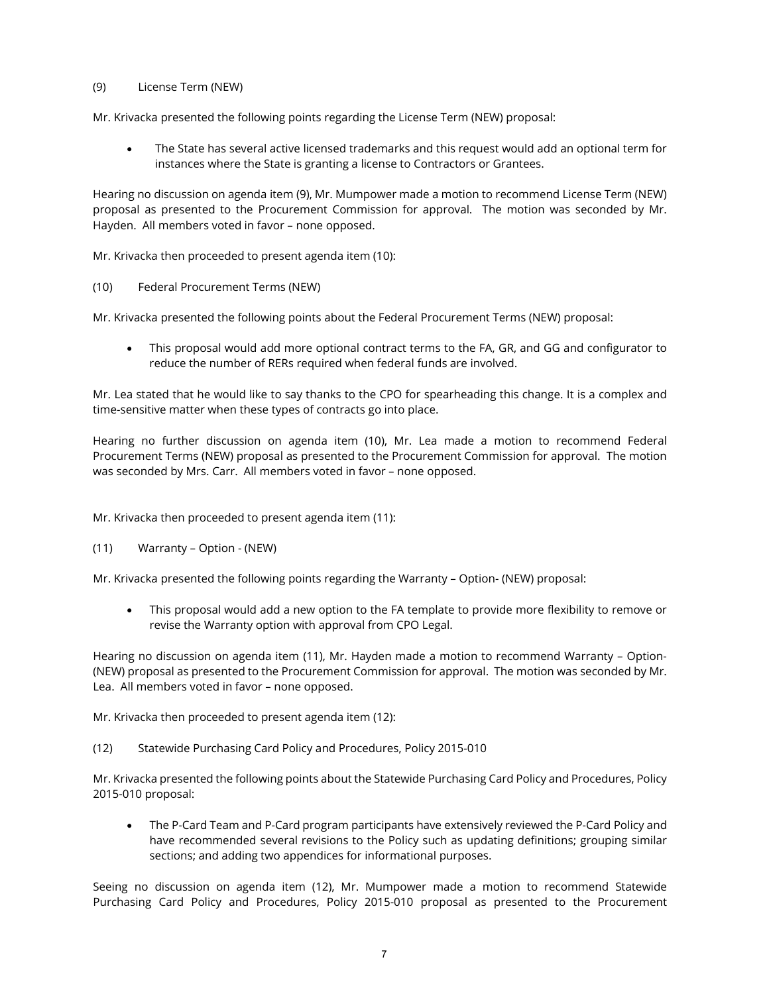#### (9) License Term (NEW)

Mr. Krivacka presented the following points regarding the License Term (NEW) proposal:

• The State has several active licensed trademarks and this request would add an optional term for instances where the State is granting a license to Contractors or Grantees.

Hearing no discussion on agenda item (9), Mr. Mumpower made a motion to recommend License Term (NEW) proposal as presented to the Procurement Commission for approval. The motion was seconded by Mr. Hayden. All members voted in favor – none opposed.

Mr. Krivacka then proceeded to present agenda item (10):

(10) Federal Procurement Terms (NEW)

Mr. Krivacka presented the following points about the Federal Procurement Terms (NEW) proposal:

• This proposal would add more optional contract terms to the FA, GR, and GG and configurator to reduce the number of RERs required when federal funds are involved.

Mr. Lea stated that he would like to say thanks to the CPO for spearheading this change. It is a complex and time-sensitive matter when these types of contracts go into place.

Hearing no further discussion on agenda item (10), Mr. Lea made a motion to recommend Federal Procurement Terms (NEW) proposal as presented to the Procurement Commission for approval. The motion was seconded by Mrs. Carr. All members voted in favor – none opposed.

Mr. Krivacka then proceeded to present agenda item (11):

(11) Warranty – Option - (NEW)

Mr. Krivacka presented the following points regarding the Warranty – Option- (NEW) proposal:

• This proposal would add a new option to the FA template to provide more flexibility to remove or revise the Warranty option with approval from CPO Legal.

Hearing no discussion on agenda item (11), Mr. Hayden made a motion to recommend Warranty – Option- (NEW) proposal as presented to the Procurement Commission for approval. The motion was seconded by Mr. Lea. All members voted in favor – none opposed.

Mr. Krivacka then proceeded to present agenda item (12):

(12) Statewide Purchasing Card Policy and Procedures, Policy 2015-010

Mr. Krivacka presented the following points about the Statewide Purchasing Card Policy and Procedures, Policy 2015-010 proposal:

• The P-Card Team and P-Card program participants have extensively reviewed the P-Card Policy and have recommended several revisions to the Policy such as updating definitions; grouping similar sections; and adding two appendices for informational purposes.

Seeing no discussion on agenda item (12), Mr. Mumpower made a motion to recommend Statewide Purchasing Card Policy and Procedures, Policy 2015-010 proposal as presented to the Procurement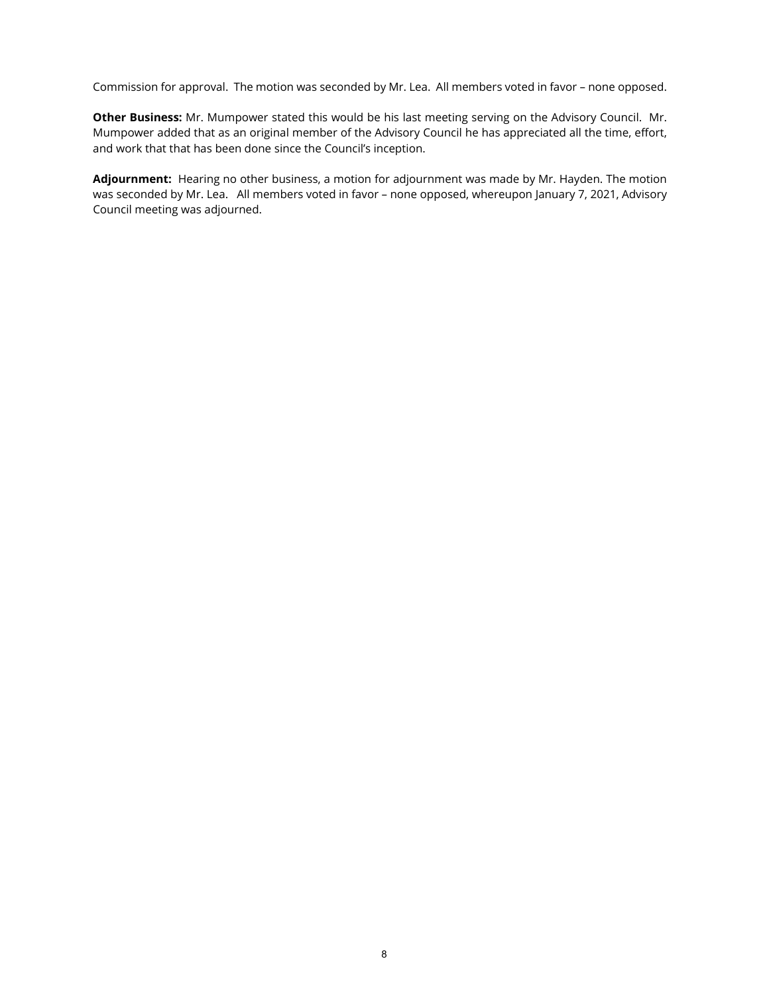Commission for approval. The motion was seconded by Mr. Lea. All members voted in favor – none opposed.

**Other Business:** Mr. Mumpower stated this would be his last meeting serving on the Advisory Council. Mr. Mumpower added that as an original member of the Advisory Council he has appreciated all the time, effort, and work that that has been done since the Council's inception.

**Adjournment:** Hearing no other business, a motion for adjournment was made by Mr. Hayden. The motion was seconded by Mr. Lea. All members voted in favor – none opposed, whereupon January 7, 2021, Advisory Council meeting was adjourned.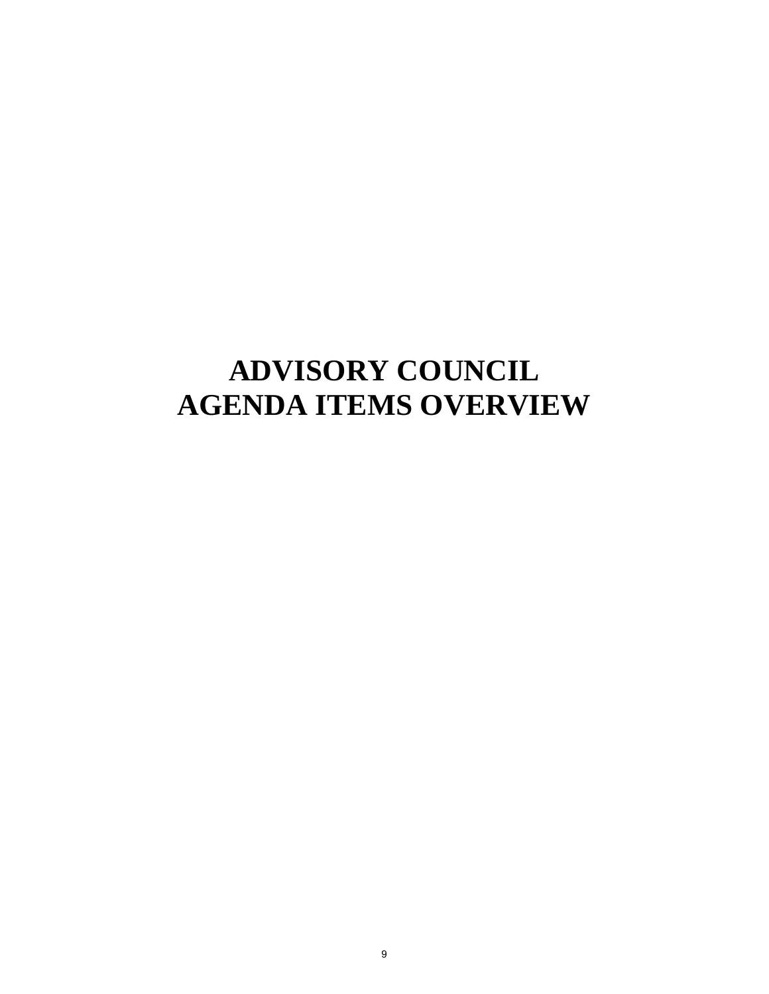## **ADVISORY COUNCIL AGENDA ITEMS OVERVIEW**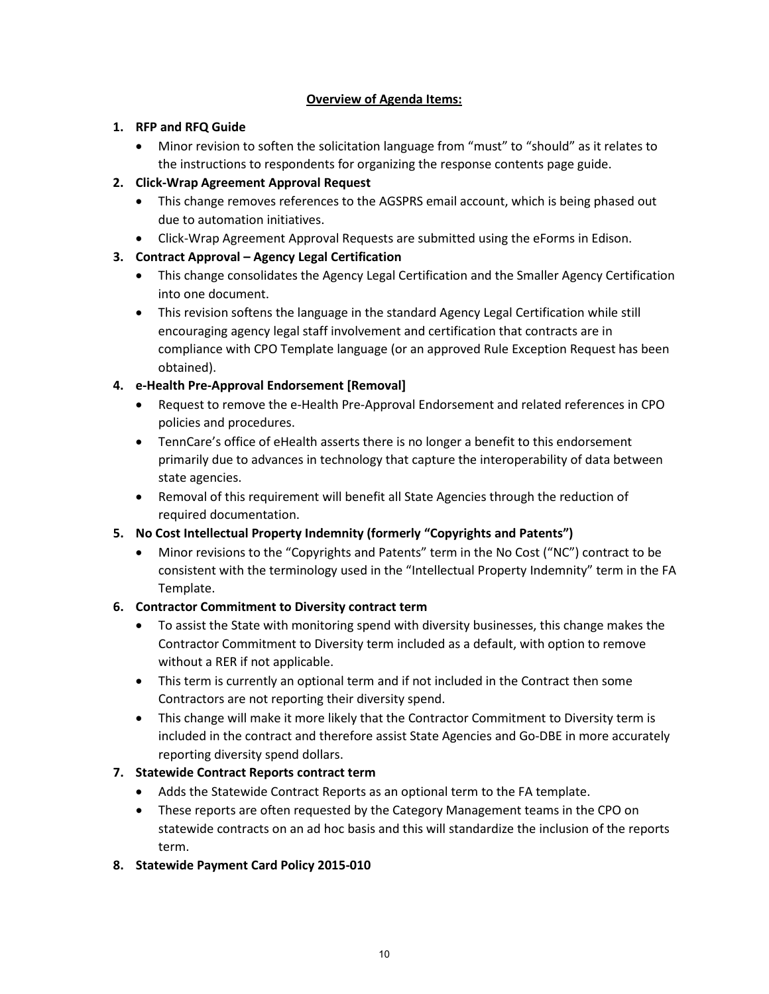### **Overview of Agenda Items:**

### **1. RFP and RFQ Guide**

• Minor revision to soften the solicitation language from "must" to "should" as it relates to the instructions to respondents for organizing the response contents page guide.

### **2. Click-Wrap Agreement Approval Request**

- This change removes references to the AGSPRS email account, which is being phased out due to automation initiatives.
- Click-Wrap Agreement Approval Requests are submitted using the eForms in Edison.

### **3. Contract Approval – Agency Legal Certification**

- This change consolidates the Agency Legal Certification and the Smaller Agency Certification into one document.
- This revision softens the language in the standard Agency Legal Certification while still encouraging agency legal staff involvement and certification that contracts are in compliance with CPO Template language (or an approved Rule Exception Request has been obtained).

### **4. e-Health Pre-Approval Endorsement [Removal]**

- Request to remove the e-Health Pre-Approval Endorsement and related references in CPO policies and procedures.
- TennCare's office of eHealth asserts there is no longer a benefit to this endorsement primarily due to advances in technology that capture the interoperability of data between state agencies.
- Removal of this requirement will benefit all State Agencies through the reduction of required documentation.

### **5. No Cost Intellectual Property Indemnity (formerly "Copyrights and Patents")**

• Minor revisions to the "Copyrights and Patents" term in the No Cost ("NC") contract to be consistent with the terminology used in the "Intellectual Property Indemnity" term in the FA Template.

### **6. Contractor Commitment to Diversity contract term**

- To assist the State with monitoring spend with diversity businesses, this change makes the Contractor Commitment to Diversity term included as a default, with option to remove without a RER if not applicable.
- This term is currently an optional term and if not included in the Contract then some Contractors are not reporting their diversity spend.
- This change will make it more likely that the Contractor Commitment to Diversity term is included in the contract and therefore assist State Agencies and Go-DBE in more accurately reporting diversity spend dollars.

### **7. Statewide Contract Reports contract term**

- Adds the Statewide Contract Reports as an optional term to the FA template.
- These reports are often requested by the Category Management teams in the CPO on statewide contracts on an ad hoc basis and this will standardize the inclusion of the reports term.

### **8. Statewide Payment Card Policy 2015-010**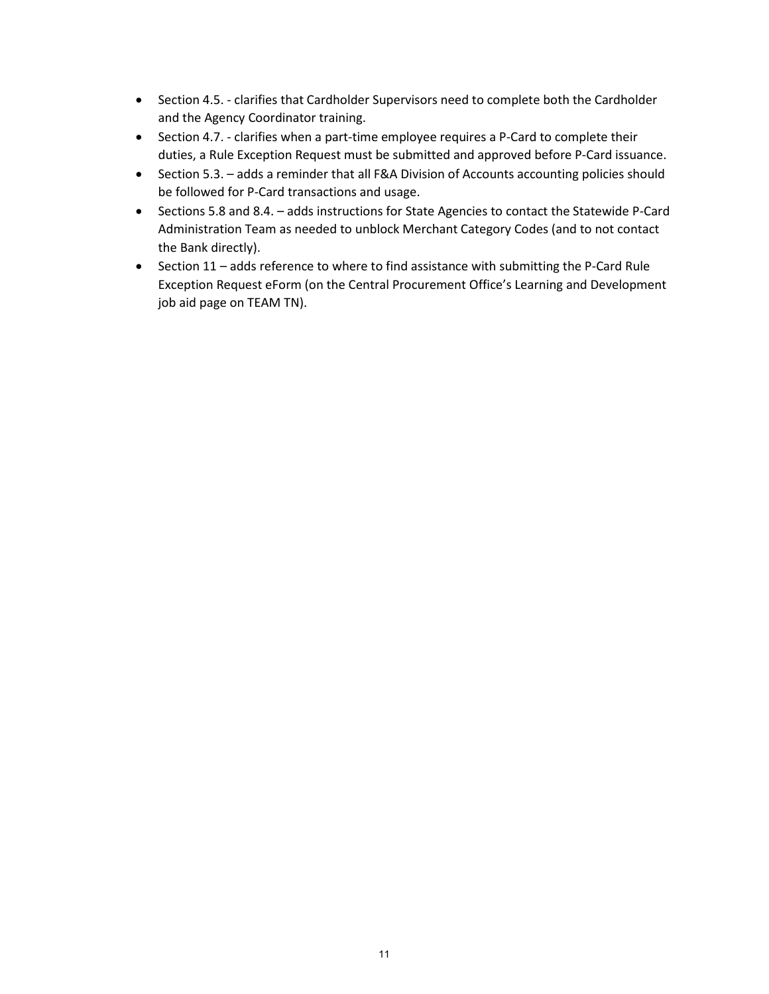- Section 4.5. clarifies that Cardholder Supervisors need to complete both the Cardholder and the Agency Coordinator training.
- Section 4.7. clarifies when a part-time employee requires a P-Card to complete their duties, a Rule Exception Request must be submitted and approved before P-Card issuance.
- Section 5.3. adds a reminder that all F&A Division of Accounts accounting policies should be followed for P-Card transactions and usage.
- Sections 5.8 and 8.4. adds instructions for State Agencies to contact the Statewide P-Card Administration Team as needed to unblock Merchant Category Codes (and to not contact the Bank directly).
- Section 11 adds reference to where to find assistance with submitting the P-Card Rule Exception Request eForm (on the Central Procurement Office's Learning and Development job aid page on TEAM TN).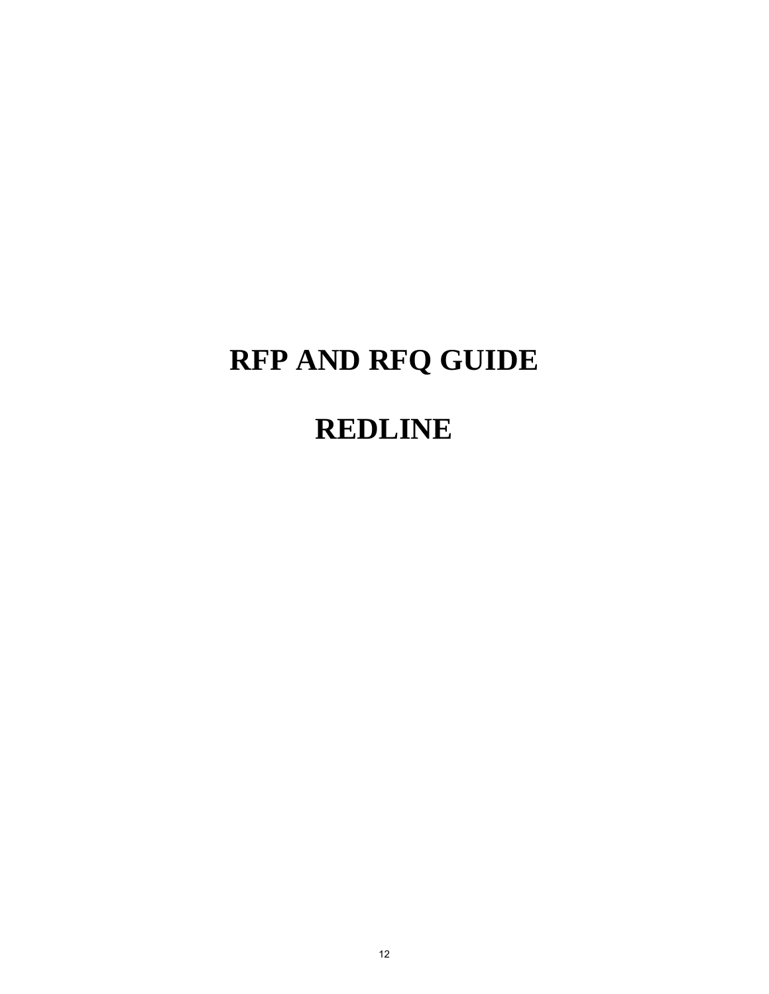# **RFP AND RFQ GUIDE**

## **REDLINE**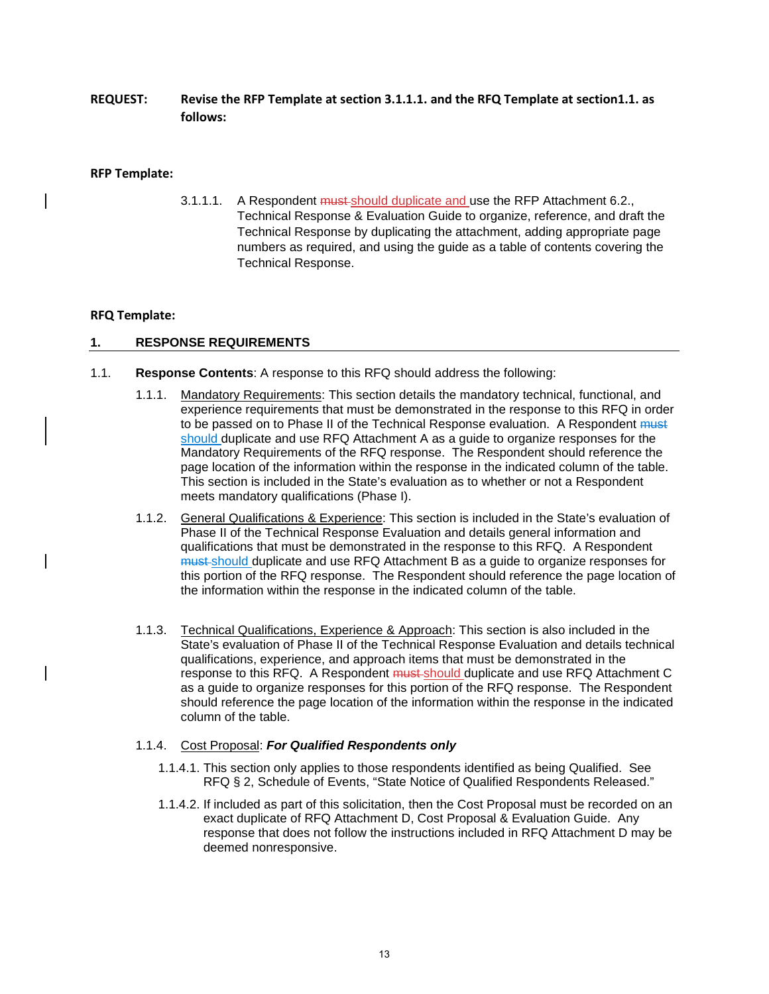**REQUEST: Revise the RFP Template at section 3.1.1.1. and the RFQ Template at section1.1. as follows:** 

#### **RFP Template:**

3.1.1.1. A Respondent must should duplicate and use the RFP Attachment 6.2., Technical Response & Evaluation Guide to organize, reference, and draft the Technical Response by duplicating the attachment, adding appropriate page numbers as required, and using the guide as a table of contents covering the Technical Response.

#### **RFQ Template:**

#### **1. RESPONSE REQUIREMENTS**

- 1.1. **Response Contents**: A response to this RFQ should address the following:
	- 1.1.1. Mandatory Requirements: This section details the mandatory technical, functional, and experience requirements that must be demonstrated in the response to this RFQ in order to be passed on to Phase II of the Technical Response evaluation. A Respondent must should duplicate and use RFQ Attachment A as a guide to organize responses for the Mandatory Requirements of the RFQ response. The Respondent should reference the page location of the information within the response in the indicated column of the table. This section is included in the State's evaluation as to whether or not a Respondent meets mandatory qualifications (Phase I).
	- 1.1.2. General Qualifications & Experience: This section is included in the State's evaluation of Phase II of the Technical Response Evaluation and details general information and qualifications that must be demonstrated in the response to this RFQ. A Respondent must should duplicate and use RFQ Attachment B as a guide to organize responses for this portion of the RFQ response. The Respondent should reference the page location of the information within the response in the indicated column of the table.
	- 1.1.3. Technical Qualifications, Experience & Approach: This section is also included in the State's evaluation of Phase II of the Technical Response Evaluation and details technical qualifications, experience, and approach items that must be demonstrated in the response to this RFQ. A Respondent must should duplicate and use RFQ Attachment C as a guide to organize responses for this portion of the RFQ response. The Respondent should reference the page location of the information within the response in the indicated column of the table.

#### 1.1.4. Cost Proposal: *For Qualified Respondents only*

- 1.1.4.1. This section only applies to those respondents identified as being Qualified. See RFQ § 2, Schedule of Events, "State Notice of Qualified Respondents Released."
- 1.1.4.2. If included as part of this solicitation, then the Cost Proposal must be recorded on an exact duplicate of RFQ Attachment D, Cost Proposal & Evaluation Guide. Any response that does not follow the instructions included in RFQ Attachment D may be deemed nonresponsive.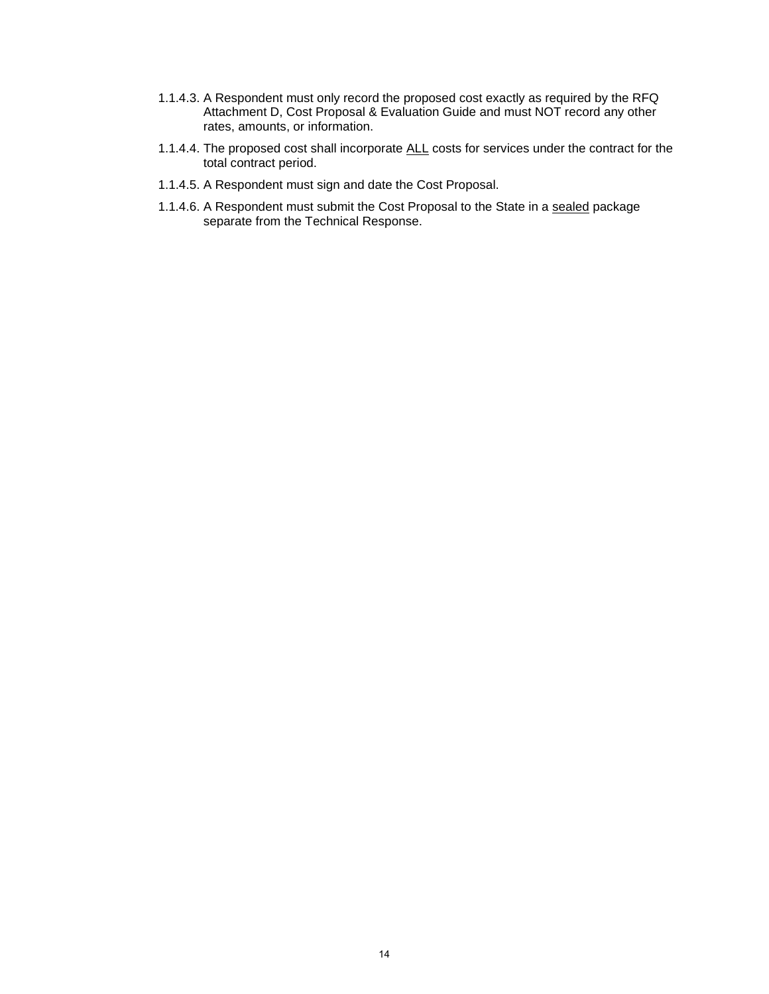- 1.1.4.3. A Respondent must only record the proposed cost exactly as required by the RFQ Attachment D, Cost Proposal & Evaluation Guide and must NOT record any other rates, amounts, or information.
- 1.1.4.4. The proposed cost shall incorporate ALL costs for services under the contract for the total contract period.
- 1.1.4.5. A Respondent must sign and date the Cost Proposal.
- 1.1.4.6. A Respondent must submit the Cost Proposal to the State in a sealed package separate from the Technical Response.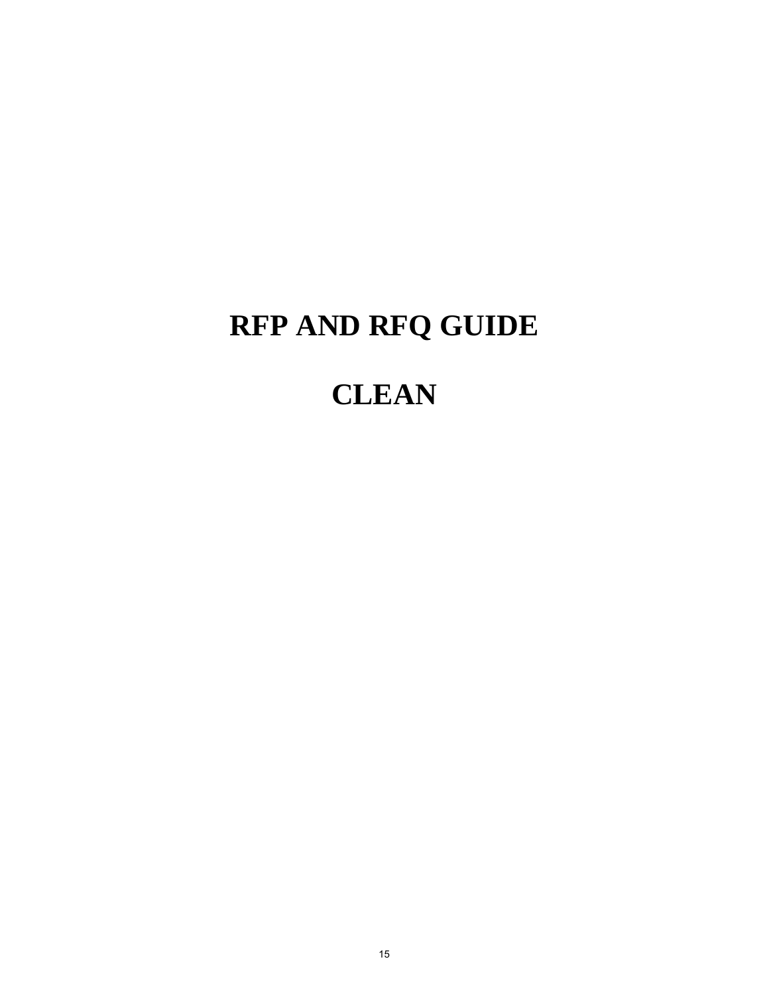# **RFP AND RFQ GUIDE**

## **CLEAN**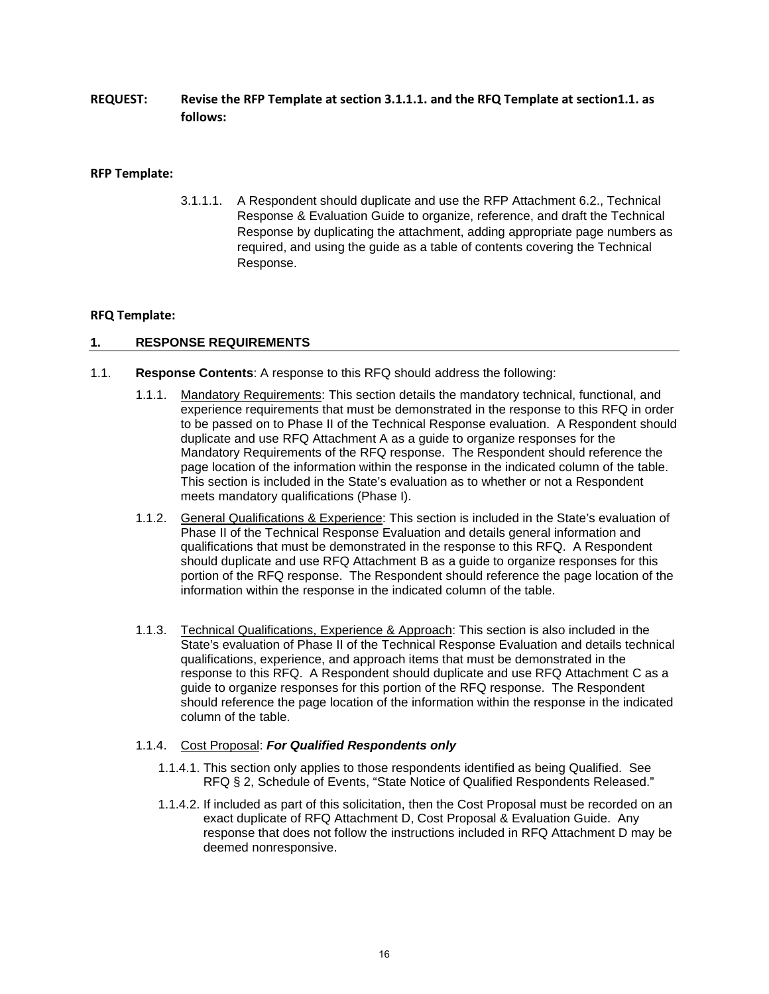**REQUEST: Revise the RFP Template at section 3.1.1.1. and the RFQ Template at section1.1. as follows:** 

#### **RFP Template:**

3.1.1.1. A Respondent should duplicate and use the RFP Attachment 6.2., Technical Response & Evaluation Guide to organize, reference, and draft the Technical Response by duplicating the attachment, adding appropriate page numbers as required, and using the guide as a table of contents covering the Technical Response.

#### **RFQ Template:**

#### **1. RESPONSE REQUIREMENTS**

- 1.1. **Response Contents**: A response to this RFQ should address the following:
	- 1.1.1. Mandatory Requirements: This section details the mandatory technical, functional, and experience requirements that must be demonstrated in the response to this RFQ in order to be passed on to Phase II of the Technical Response evaluation. A Respondent should duplicate and use RFQ Attachment A as a guide to organize responses for the Mandatory Requirements of the RFQ response. The Respondent should reference the page location of the information within the response in the indicated column of the table. This section is included in the State's evaluation as to whether or not a Respondent meets mandatory qualifications (Phase I).
	- 1.1.2. General Qualifications & Experience: This section is included in the State's evaluation of Phase II of the Technical Response Evaluation and details general information and qualifications that must be demonstrated in the response to this RFQ. A Respondent should duplicate and use RFQ Attachment B as a guide to organize responses for this portion of the RFQ response. The Respondent should reference the page location of the information within the response in the indicated column of the table.
	- 1.1.3. Technical Qualifications, Experience & Approach: This section is also included in the State's evaluation of Phase II of the Technical Response Evaluation and details technical qualifications, experience, and approach items that must be demonstrated in the response to this RFQ. A Respondent should duplicate and use RFQ Attachment C as a guide to organize responses for this portion of the RFQ response. The Respondent should reference the page location of the information within the response in the indicated column of the table.

#### 1.1.4. Cost Proposal: *For Qualified Respondents only*

- 1.1.4.1. This section only applies to those respondents identified as being Qualified. See RFQ § 2, Schedule of Events, "State Notice of Qualified Respondents Released."
- 1.1.4.2. If included as part of this solicitation, then the Cost Proposal must be recorded on an exact duplicate of RFQ Attachment D, Cost Proposal & Evaluation Guide. Any response that does not follow the instructions included in RFQ Attachment D may be deemed nonresponsive.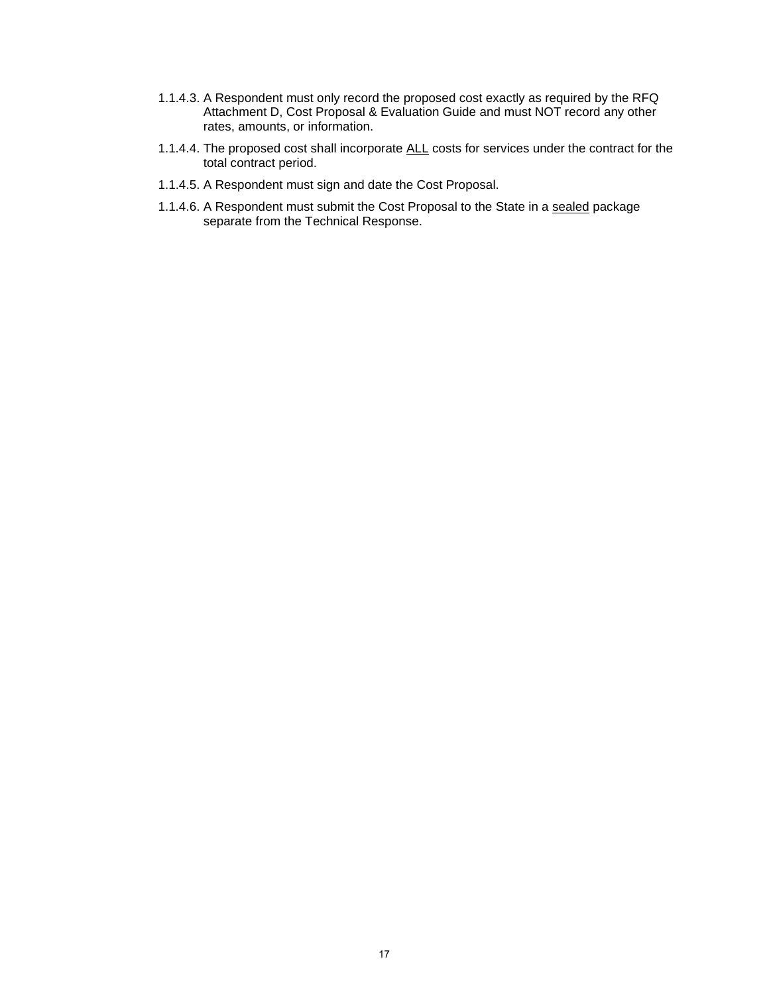- 1.1.4.3. A Respondent must only record the proposed cost exactly as required by the RFQ Attachment D, Cost Proposal & Evaluation Guide and must NOT record any other rates, amounts, or information.
- 1.1.4.4. The proposed cost shall incorporate ALL costs for services under the contract for the total contract period.
- 1.1.4.5. A Respondent must sign and date the Cost Proposal.
- 1.1.4.6. A Respondent must submit the Cost Proposal to the State in a sealed package separate from the Technical Response.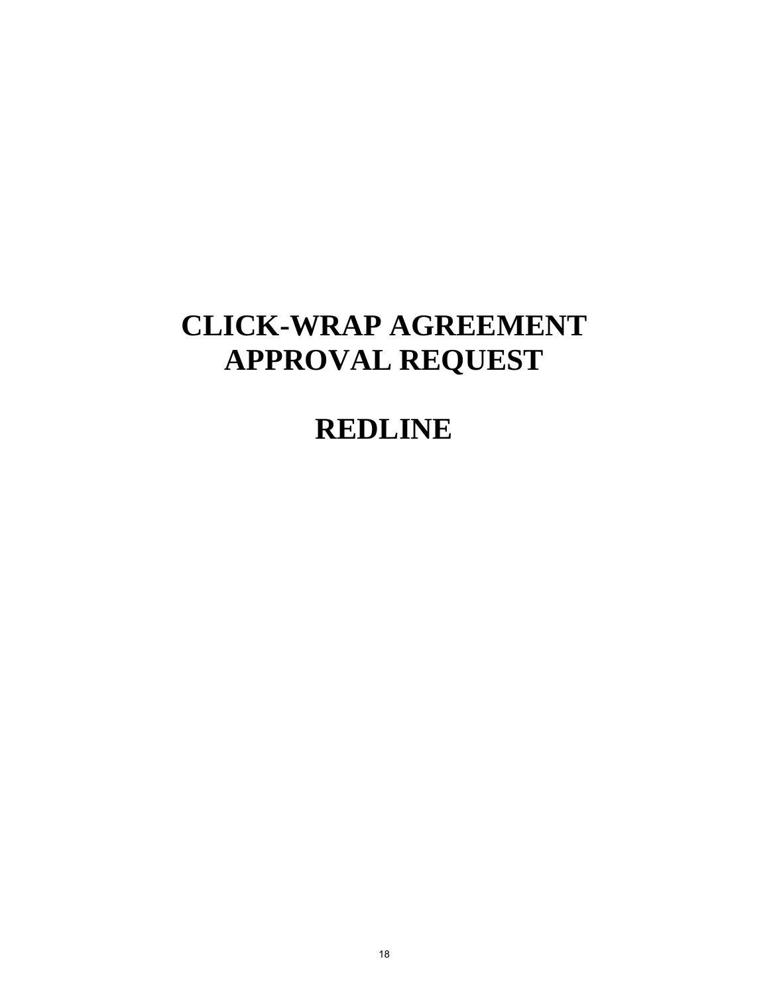## **CLICK-WRAP AGREEMENT APPROVAL REQUEST**

## **REDLINE**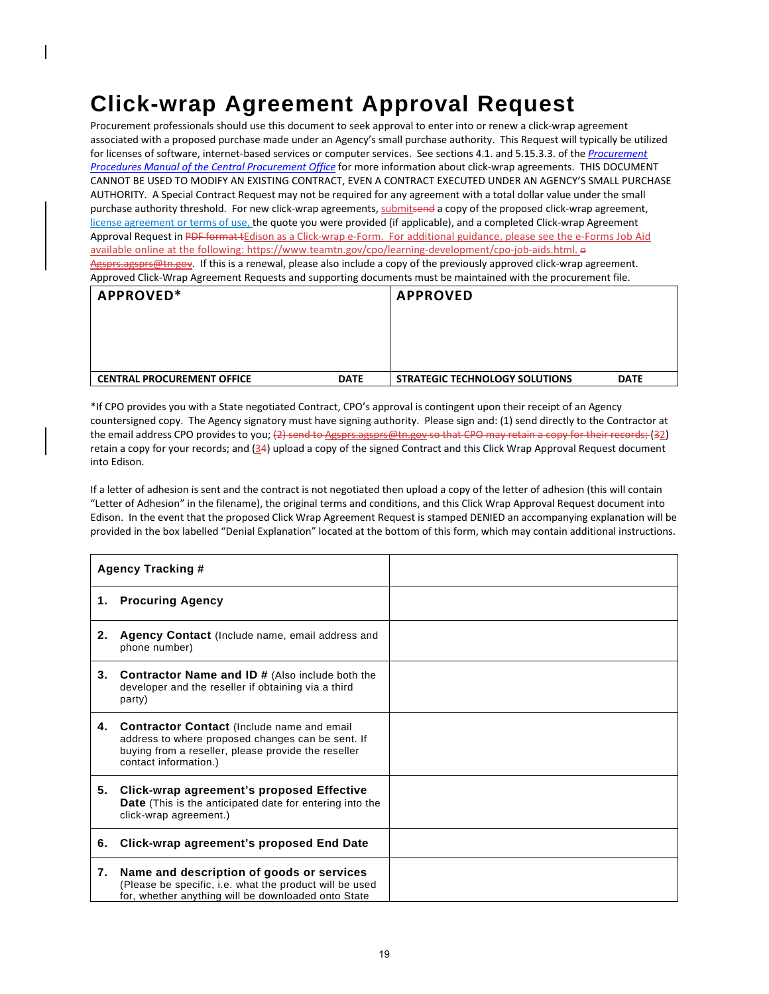## **Click-wrap Agreement Approval Request**

Procurement professionals should use this document to seek approval to enter into or renew a click-wrap agreement associated with a proposed purchase made under an Agency's small purchase authority. This Request will typically be utilized for licenses of software, internet-based services or computer services. See sections 4.1. and 5.15.3.3. of the *[Procurement](http://www.tn.gov/generalservices/topic/education-library)  [Procedures Manual of the Central Procurement Office](http://www.tn.gov/generalservices/topic/education-library)* for more information about click-wrap agreements. THIS DOCUMENT CANNOT BE USED TO MODIFY AN EXISTING CONTRACT, EVEN A CONTRACT EXECUTED UNDER AN AGENCY'S SMALL PURCHASE AUTHORITY. A Special Contract Request may not be required for any agreement with a total dollar value under the small purchase authority threshold. For new click-wrap agreements, submitsend a copy of the proposed click-wrap agreement, license agreement or terms of use, the quote you were provided (if applicable), and a completed Click-wrap Agreement Approval Request in PDF format tEdison as a Click-wrap e-Form. For additional guidance, please see the e-Forms Job Aid available online at the following[: https://www.teamtn.gov/cpo/learning-development/cpo-job-aids.html.](https://www.teamtn.gov/cpo/learning-development/cpo-job-aids.html)  $\Theta$ [Agsprs.agsprs@tn.gov.](mailto:) If this is a renewal, please also include a copy of the previously approved click-wrap agreement. Approved Click-Wrap Agreement Requests and supporting documents must be maintained with the procurement file.

| APPROVED*                         |             | <b>APPROVED</b>                       |             |
|-----------------------------------|-------------|---------------------------------------|-------------|
|                                   |             |                                       |             |
| <b>CENTRAL PROCUREMENT OFFICE</b> | <b>DATE</b> | <b>STRATEGIC TECHNOLOGY SOLUTIONS</b> | <b>DATE</b> |

\*If CPO provides you with a State negotiated Contract, CPO's approval is contingent upon their receipt of an Agency countersigned copy. The Agency signatory must have signing authority. Please sign and: (1) send directly to the Contractor at the email address CPO provides to you; (2) send to Agsprs.agsprs@tn.gov so that CPO may retain a copy for their records; (32) retain a copy for your records; and  $(34)$  upload a copy of the signed Contract and this Click Wrap Approval Request document into Edison.

If a letter of adhesion is sent and the contract is not negotiated then upload a copy of the letter of adhesion (this will contain "Letter of Adhesion" in the filename), the original terms and conditions, and this Click Wrap Approval Request document into Edison. In the event that the proposed Click Wrap Agreement Request is stamped DENIED an accompanying explanation will be provided in the box labelled "Denial Explanation" located at the bottom of this form, which may contain additional instructions.

|    | <b>Agency Tracking #</b>                                                                                                                                                               |  |
|----|----------------------------------------------------------------------------------------------------------------------------------------------------------------------------------------|--|
| 1. | <b>Procuring Agency</b>                                                                                                                                                                |  |
| 2. | <b>Agency Contact</b> (Include name, email address and<br>phone number)                                                                                                                |  |
| 3. | <b>Contractor Name and ID # (Also include both the</b><br>developer and the reseller if obtaining via a third<br>party)                                                                |  |
| 4. | <b>Contractor Contact (Include name and email</b><br>address to where proposed changes can be sent. If<br>buying from a reseller, please provide the reseller<br>contact information.) |  |
| 5. | Click-wrap agreement's proposed Effective<br><b>Date</b> (This is the anticipated date for entering into the<br>click-wrap agreement.)                                                 |  |
| 6. | Click-wrap agreement's proposed End Date                                                                                                                                               |  |
| 7. | Name and description of goods or services<br>(Please be specific, i.e. what the product will be used<br>for, whether anything will be downloaded onto State                            |  |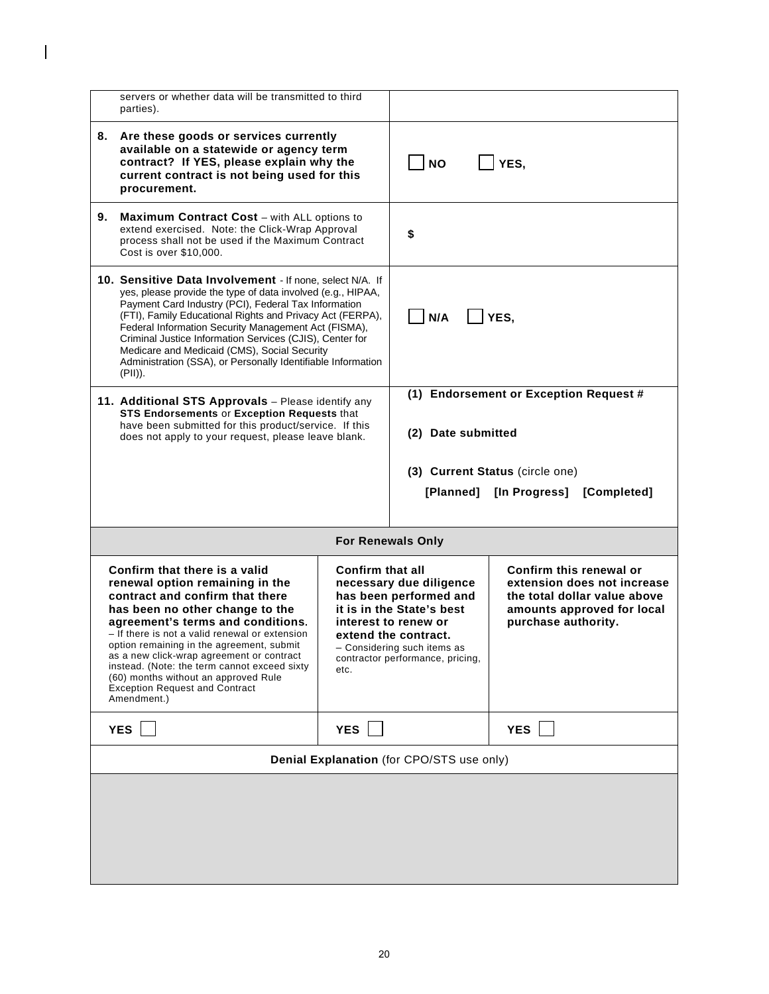|                                                                                                                                                                                                                                                                                                                                                                                                                                                                                             | servers or whether data will be transmitted to third<br>parties).                                                                                                                                                                                                                                                                                                                                                                                                       |                                 |                                                                                                                                                                                                   |                                                                                                                                             |
|---------------------------------------------------------------------------------------------------------------------------------------------------------------------------------------------------------------------------------------------------------------------------------------------------------------------------------------------------------------------------------------------------------------------------------------------------------------------------------------------|-------------------------------------------------------------------------------------------------------------------------------------------------------------------------------------------------------------------------------------------------------------------------------------------------------------------------------------------------------------------------------------------------------------------------------------------------------------------------|---------------------------------|---------------------------------------------------------------------------------------------------------------------------------------------------------------------------------------------------|---------------------------------------------------------------------------------------------------------------------------------------------|
| 8.                                                                                                                                                                                                                                                                                                                                                                                                                                                                                          | Are these goods or services currently<br>available on a statewide or agency term<br>contract? If YES, please explain why the<br>current contract is not being used for this<br>procurement.                                                                                                                                                                                                                                                                             |                                 | <b>NO</b>                                                                                                                                                                                         | YES,                                                                                                                                        |
| 9.                                                                                                                                                                                                                                                                                                                                                                                                                                                                                          | <b>Maximum Contract Cost</b> – with ALL options to<br>extend exercised. Note: the Click-Wrap Approval<br>process shall not be used if the Maximum Contract<br>Cost is over \$10,000.                                                                                                                                                                                                                                                                                    |                                 | \$                                                                                                                                                                                                |                                                                                                                                             |
| 10. Sensitive Data Involvement - If none, select N/A. If<br>yes, please provide the type of data involved (e.g., HIPAA,<br>Payment Card Industry (PCI), Federal Tax Information<br>(FTI), Family Educational Rights and Privacy Act (FERPA),<br>Federal Information Security Management Act (FISMA),<br>Criminal Justice Information Services (CJIS), Center for<br>Medicare and Medicaid (CMS), Social Security<br>Administration (SSA), or Personally Identifiable Information<br>(PII)). |                                                                                                                                                                                                                                                                                                                                                                                                                                                                         | N/A                             | YES,                                                                                                                                                                                              |                                                                                                                                             |
|                                                                                                                                                                                                                                                                                                                                                                                                                                                                                             | 11. Additional STS Approvals - Please identify any<br>STS Endorsements or Exception Requests that<br>have been submitted for this product/service. If this<br>does not apply to your request, please leave blank.                                                                                                                                                                                                                                                       |                                 | (2) Date submitted                                                                                                                                                                                | (1) Endorsement or Exception Request #                                                                                                      |
|                                                                                                                                                                                                                                                                                                                                                                                                                                                                                             |                                                                                                                                                                                                                                                                                                                                                                                                                                                                         |                                 |                                                                                                                                                                                                   | (3) Current Status (circle one)                                                                                                             |
|                                                                                                                                                                                                                                                                                                                                                                                                                                                                                             |                                                                                                                                                                                                                                                                                                                                                                                                                                                                         |                                 |                                                                                                                                                                                                   | [Planned] [In Progress] [Completed]                                                                                                         |
|                                                                                                                                                                                                                                                                                                                                                                                                                                                                                             |                                                                                                                                                                                                                                                                                                                                                                                                                                                                         |                                 |                                                                                                                                                                                                   |                                                                                                                                             |
|                                                                                                                                                                                                                                                                                                                                                                                                                                                                                             |                                                                                                                                                                                                                                                                                                                                                                                                                                                                         |                                 | <b>For Renewals Only</b>                                                                                                                                                                          |                                                                                                                                             |
|                                                                                                                                                                                                                                                                                                                                                                                                                                                                                             | Confirm that there is a valid<br>renewal option remaining in the<br>contract and confirm that there<br>has been no other change to the<br>agreement's terms and conditions.<br>- If there is not a valid renewal or extension<br>option remaining in the agreement, submit<br>as a new click-wrap agreement or contract<br>instead. (Note: the term cannot exceed sixty<br>(60) months without an approved Rule<br><b>Exception Request and Contract</b><br>Amendment.) | <b>Confirm that all</b><br>etc. | necessary due diligence<br>has been performed and<br>it is in the State's best<br>interest to renew or<br>extend the contract.<br>- Considering such items as<br>contractor performance, pricing, | Confirm this renewal or<br>extension does not increase<br>the total dollar value above<br>amounts approved for local<br>purchase authority. |
|                                                                                                                                                                                                                                                                                                                                                                                                                                                                                             | <b>YES</b>                                                                                                                                                                                                                                                                                                                                                                                                                                                              | YES                             |                                                                                                                                                                                                   | <b>YES</b>                                                                                                                                  |
|                                                                                                                                                                                                                                                                                                                                                                                                                                                                                             |                                                                                                                                                                                                                                                                                                                                                                                                                                                                         |                                 | Denial Explanation (for CPO/STS use only)                                                                                                                                                         |                                                                                                                                             |
|                                                                                                                                                                                                                                                                                                                                                                                                                                                                                             |                                                                                                                                                                                                                                                                                                                                                                                                                                                                         |                                 |                                                                                                                                                                                                   |                                                                                                                                             |

 $\overline{\phantom{a}}$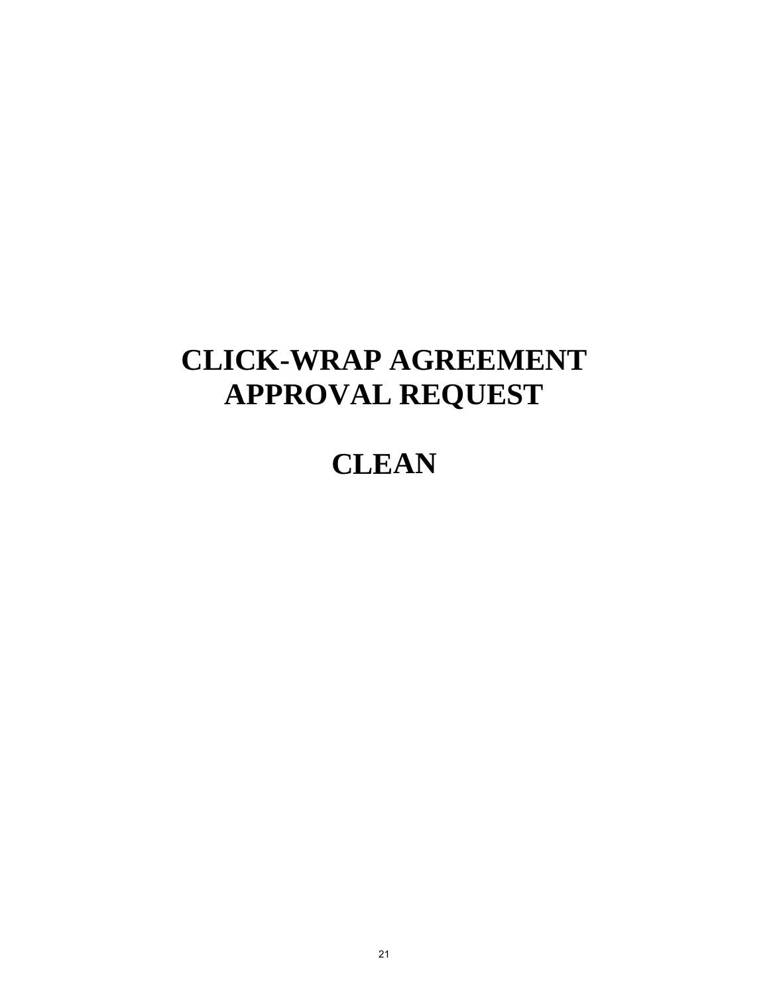# **CLICK-WRAP AGREEMENT APPROVAL REQUEST**

## **CLEAN**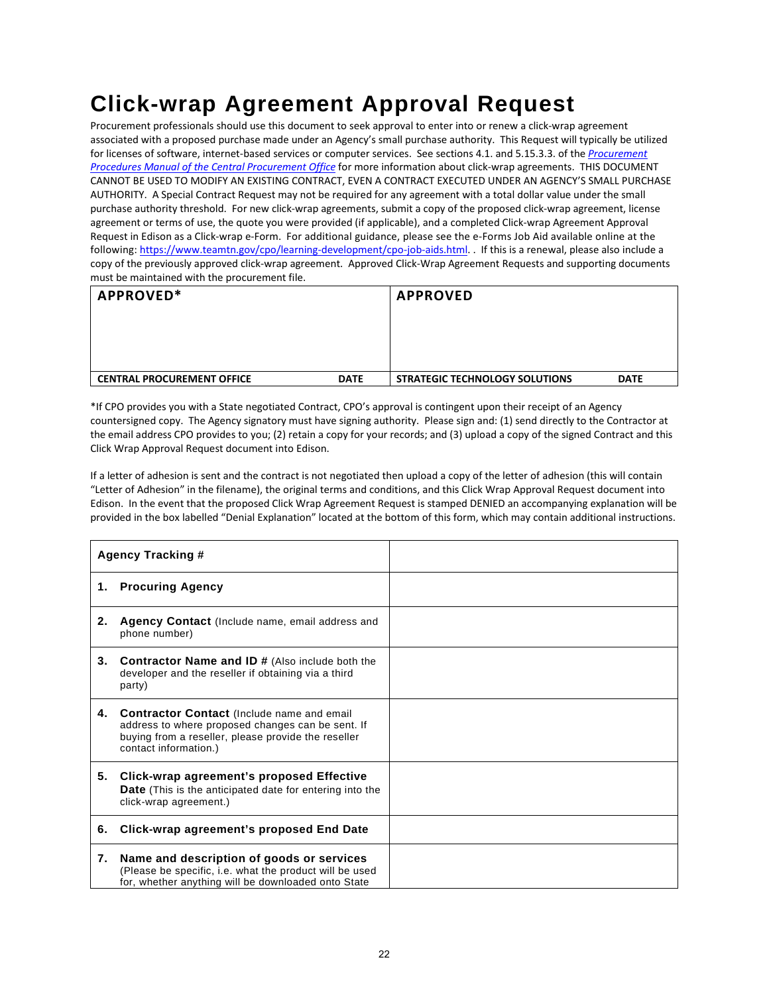## **Click-wrap Agreement Approval Request**

Procurement professionals should use this document to seek approval to enter into or renew a click-wrap agreement associated with a proposed purchase made under an Agency's small purchase authority. This Request will typically be utilized for licenses of software, internet-based services or computer services. See sections 4.1. and 5.15.3.3. of the *[Procurement](http://www.tn.gov/generalservices/topic/education-library)  [Procedures Manual of the Central Procurement Office](http://www.tn.gov/generalservices/topic/education-library)* for more information about click-wrap agreements. THIS DOCUMENT CANNOT BE USED TO MODIFY AN EXISTING CONTRACT, EVEN A CONTRACT EXECUTED UNDER AN AGENCY'S SMALL PURCHASE AUTHORITY. A Special Contract Request may not be required for any agreement with a total dollar value under the small purchase authority threshold. For new click-wrap agreements, submit a copy of the proposed click-wrap agreement, license agreement or terms of use, the quote you were provided (if applicable), and a completed Click-wrap Agreement Approval Request in Edison as a Click-wrap e-Form. For additional guidance, please see the e-Forms Job Aid available online at the following[: https://www.teamtn.gov/cpo/learning-development/cpo-job-aids.html.](https://www.teamtn.gov/cpo/learning-development/cpo-job-aids.html) . If this is a renewal, please also include a copy of the previously approved click-wrap agreement. Approved Click-Wrap Agreement Requests and supporting documents must be maintained with the procurement file.

| APPROVED*                         |             | <b>APPROVED</b>                       |             |
|-----------------------------------|-------------|---------------------------------------|-------------|
|                                   |             |                                       |             |
|                                   |             |                                       |             |
|                                   |             |                                       |             |
| <b>CENTRAL PROCUREMENT OFFICE</b> | <b>DATE</b> | <b>STRATEGIC TECHNOLOGY SOLUTIONS</b> | <b>DATE</b> |

\*If CPO provides you with a State negotiated Contract, CPO's approval is contingent upon their receipt of an Agency countersigned copy. The Agency signatory must have signing authority. Please sign and: (1) send directly to the Contractor at the email address CPO provides to you; (2) retain a copy for your records; and (3) upload a copy of the signed Contract and this Click Wrap Approval Request document into Edison.

If a letter of adhesion is sent and the contract is not negotiated then upload a copy of the letter of adhesion (this will contain "Letter of Adhesion" in the filename), the original terms and conditions, and this Click Wrap Approval Request document into Edison. In the event that the proposed Click Wrap Agreement Request is stamped DENIED an accompanying explanation will be provided in the box labelled "Denial Explanation" located at the bottom of this form, which may contain additional instructions.

|    | <b>Agency Tracking #</b>                                                                                                                                                               |  |
|----|----------------------------------------------------------------------------------------------------------------------------------------------------------------------------------------|--|
|    | 1. Procuring Agency                                                                                                                                                                    |  |
| 2. | Agency Contact (Include name, email address and<br>phone number)                                                                                                                       |  |
| 3. | <b>Contractor Name and ID # (Also include both the</b><br>developer and the reseller if obtaining via a third<br>party)                                                                |  |
| 4. | <b>Contractor Contact</b> (Include name and email<br>address to where proposed changes can be sent. If<br>buying from a reseller, please provide the reseller<br>contact information.) |  |
| 5. | Click-wrap agreement's proposed Effective<br><b>Date</b> (This is the anticipated date for entering into the<br>click-wrap agreement.)                                                 |  |
| 6. | Click-wrap agreement's proposed End Date                                                                                                                                               |  |
| 7. | Name and description of goods or services<br>(Please be specific, i.e. what the product will be used<br>for, whether anything will be downloaded onto State                            |  |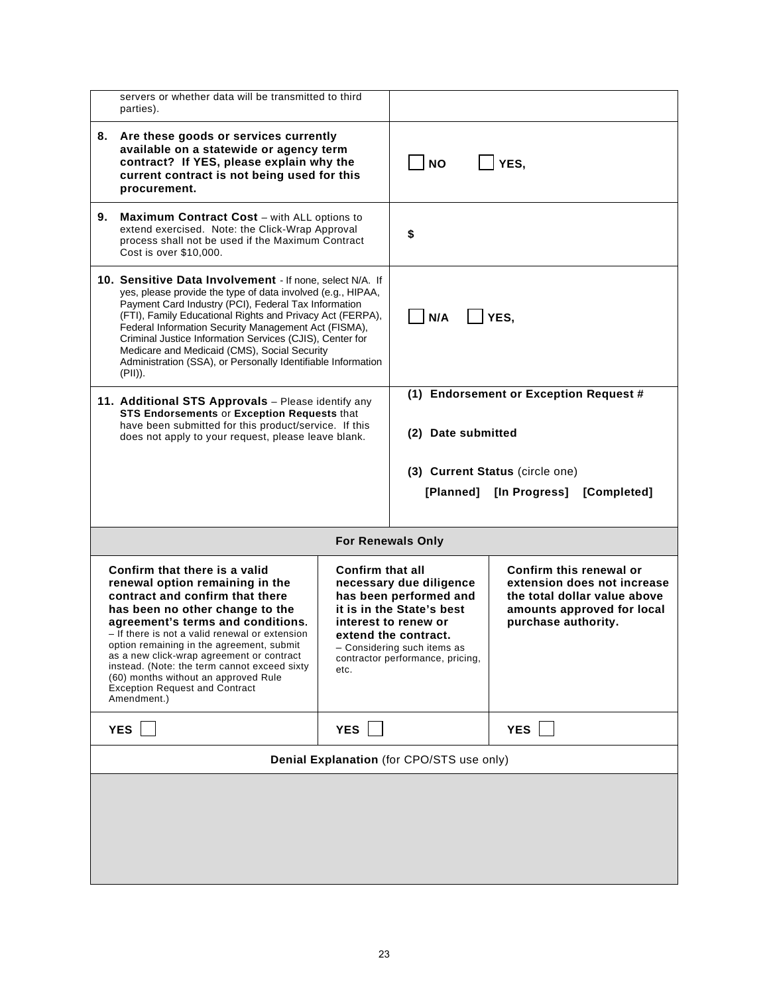|                                                                                                                                                                                                                                                                                                                                                                                                                                                                                                            | servers or whether data will be transmitted to third<br>parties).                                                                                                                                                 |                                                                                                                                                                                                   |                                                                                                                                             |                                        |
|------------------------------------------------------------------------------------------------------------------------------------------------------------------------------------------------------------------------------------------------------------------------------------------------------------------------------------------------------------------------------------------------------------------------------------------------------------------------------------------------------------|-------------------------------------------------------------------------------------------------------------------------------------------------------------------------------------------------------------------|---------------------------------------------------------------------------------------------------------------------------------------------------------------------------------------------------|---------------------------------------------------------------------------------------------------------------------------------------------|----------------------------------------|
|                                                                                                                                                                                                                                                                                                                                                                                                                                                                                                            | 8. Are these goods or services currently<br>available on a statewide or agency term<br>contract? If YES, please explain why the<br>current contract is not being used for this<br>procurement.                    |                                                                                                                                                                                                   | <b>NO</b>                                                                                                                                   | YES,                                   |
| 9.                                                                                                                                                                                                                                                                                                                                                                                                                                                                                                         | <b>Maximum Contract Cost</b> – with ALL options to<br>extend exercised. Note: the Click-Wrap Approval<br>process shall not be used if the Maximum Contract<br>Cost is over \$10,000.                              |                                                                                                                                                                                                   | \$                                                                                                                                          |                                        |
| 10. Sensitive Data Involvement - If none, select N/A. If<br>yes, please provide the type of data involved (e.g., HIPAA,<br>Payment Card Industry (PCI), Federal Tax Information<br>(FTI), Family Educational Rights and Privacy Act (FERPA),<br>Federal Information Security Management Act (FISMA),<br>Criminal Justice Information Services (CJIS), Center for<br>Medicare and Medicaid (CMS), Social Security<br>Administration (SSA), or Personally Identifiable Information<br>(PII)).                |                                                                                                                                                                                                                   | N/A                                                                                                                                                                                               | YES,                                                                                                                                        |                                        |
|                                                                                                                                                                                                                                                                                                                                                                                                                                                                                                            | 11. Additional STS Approvals - Please identify any<br>STS Endorsements or Exception Requests that<br>have been submitted for this product/service. If this<br>does not apply to your request, please leave blank. |                                                                                                                                                                                                   | (2) Date submitted                                                                                                                          | (1) Endorsement or Exception Request # |
|                                                                                                                                                                                                                                                                                                                                                                                                                                                                                                            |                                                                                                                                                                                                                   |                                                                                                                                                                                                   |                                                                                                                                             | (3) Current Status (circle one)        |
|                                                                                                                                                                                                                                                                                                                                                                                                                                                                                                            |                                                                                                                                                                                                                   |                                                                                                                                                                                                   |                                                                                                                                             | [Planned] [In Progress] [Completed]    |
|                                                                                                                                                                                                                                                                                                                                                                                                                                                                                                            |                                                                                                                                                                                                                   |                                                                                                                                                                                                   | <b>For Renewals Only</b>                                                                                                                    |                                        |
| Confirm that there is a valid<br><b>Confirm that all</b><br>renewal option remaining in the<br>contract and confirm that there<br>has been no other change to the<br>agreement's terms and conditions.<br>- If there is not a valid renewal or extension<br>option remaining in the agreement, submit<br>as a new click-wrap agreement or contract<br>instead. (Note: the term cannot exceed sixty<br>etc.<br>(60) months without an approved Rule<br><b>Exception Request and Contract</b><br>Amendment.) |                                                                                                                                                                                                                   | necessary due diligence<br>has been performed and<br>it is in the State's best<br>interest to renew or<br>extend the contract.<br>- Considering such items as<br>contractor performance, pricing, | Confirm this renewal or<br>extension does not increase<br>the total dollar value above<br>amounts approved for local<br>purchase authority. |                                        |
|                                                                                                                                                                                                                                                                                                                                                                                                                                                                                                            | <b>YES</b>                                                                                                                                                                                                        | <b>YES</b>                                                                                                                                                                                        |                                                                                                                                             | <b>YES</b>                             |
|                                                                                                                                                                                                                                                                                                                                                                                                                                                                                                            |                                                                                                                                                                                                                   |                                                                                                                                                                                                   | Denial Explanation (for CPO/STS use only)                                                                                                   |                                        |
|                                                                                                                                                                                                                                                                                                                                                                                                                                                                                                            |                                                                                                                                                                                                                   |                                                                                                                                                                                                   |                                                                                                                                             |                                        |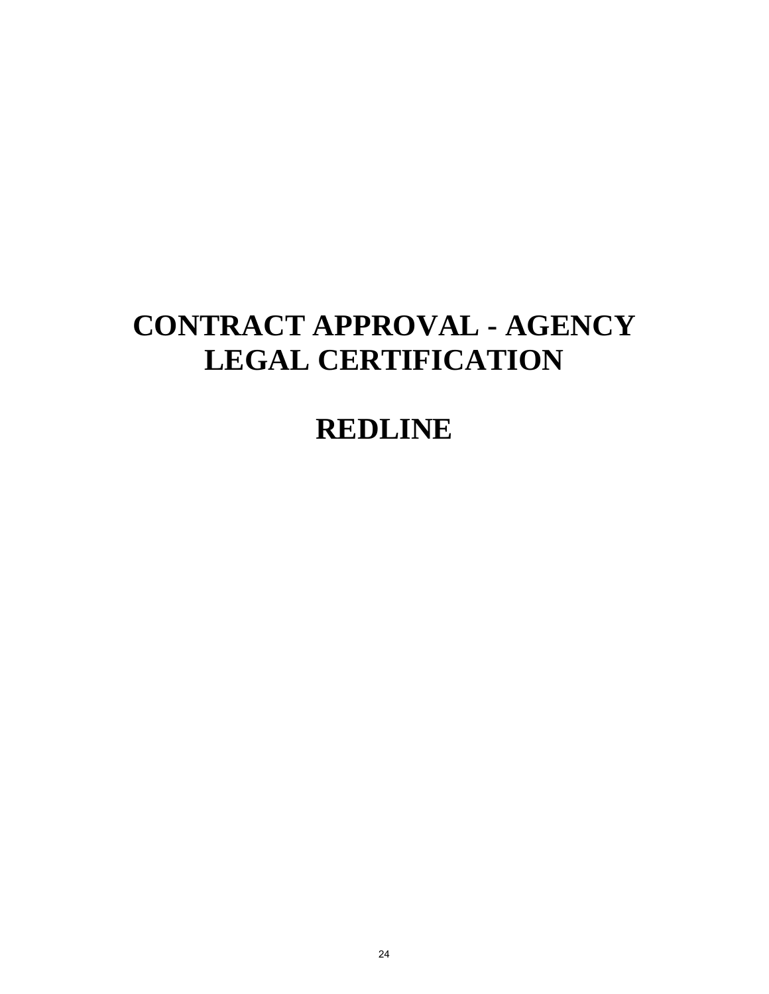# **CONTRACT APPROVAL - AGENCY LEGAL CERTIFICATION**

## **REDLINE**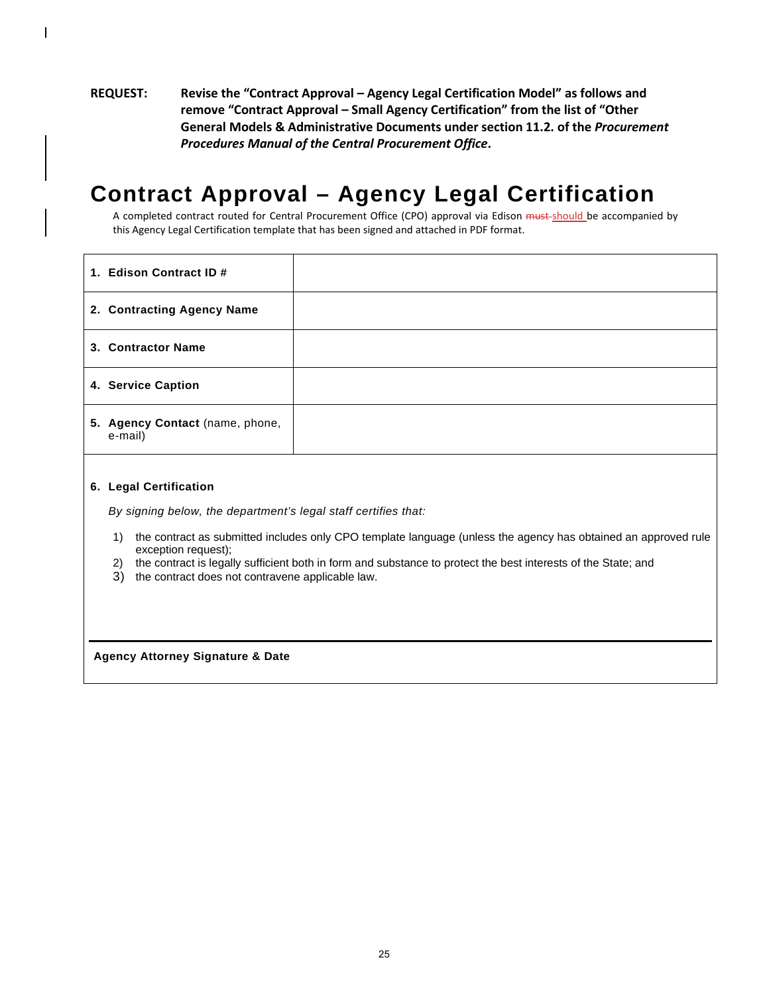### **REQUEST: Revise the "Contract Approval – Agency Legal Certification Model" as follows and remove "Contract Approval – Small Agency Certification" from the list of "Other General Models & Administrative Documents under section 11.2. of the** *Procurement Procedures Manual of the Central Procurement Office***.**

## **Contract Approval – Agency Legal Certification**

A completed contract routed for Central Procurement Office (CPO) approval via Edison must-should be accompanied by this Agency Legal Certification template that has been signed and attached in PDF format.

| 1. Edison Contract ID #                    |  |
|--------------------------------------------|--|
| 2. Contracting Agency Name                 |  |
| 3. Contractor Name                         |  |
| 4. Service Caption                         |  |
| 5. Agency Contact (name, phone,<br>e-mail) |  |

#### **6. Legal Certification**

*By signing below, the department's legal staff certifies that:*

- 1) the contract as submitted includes only CPO template language (unless the agency has obtained an approved rule exception request);
- 2) the contract is legally sufficient both in form and substance to protect the best interests of the State; and
- 3) the contract does not contravene applicable law.

**Agency Attorney Signature & Date**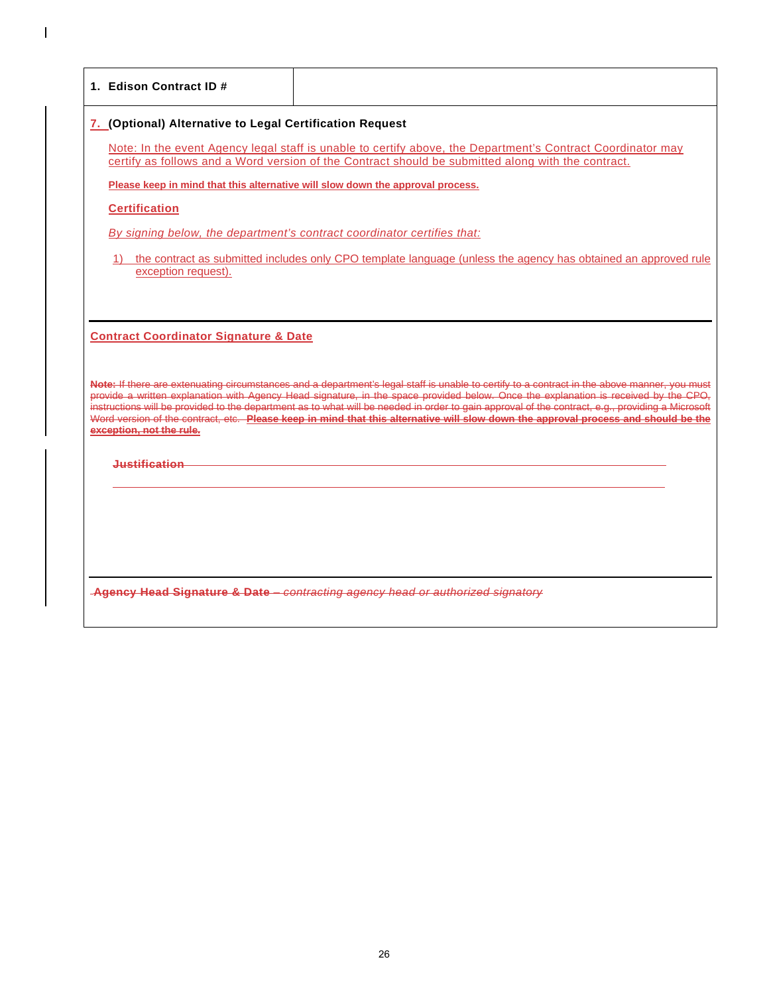| 1. Edison Contract ID#                                                       |                                                                                                                                                                                                                                                                                                                                                                                                                                                                                                                                                                               |
|------------------------------------------------------------------------------|-------------------------------------------------------------------------------------------------------------------------------------------------------------------------------------------------------------------------------------------------------------------------------------------------------------------------------------------------------------------------------------------------------------------------------------------------------------------------------------------------------------------------------------------------------------------------------|
| 7. (Optional) Alternative to Legal Certification Request                     |                                                                                                                                                                                                                                                                                                                                                                                                                                                                                                                                                                               |
|                                                                              | Note: In the event Agency legal staff is unable to certify above, the Department's Contract Coordinator may<br>certify as follows and a Word version of the Contract should be submitted along with the contract.                                                                                                                                                                                                                                                                                                                                                             |
|                                                                              | Please keep in mind that this alternative will slow down the approval process.                                                                                                                                                                                                                                                                                                                                                                                                                                                                                                |
| <b>Certification</b>                                                         |                                                                                                                                                                                                                                                                                                                                                                                                                                                                                                                                                                               |
|                                                                              | By signing below, the department's contract coordinator certifies that:                                                                                                                                                                                                                                                                                                                                                                                                                                                                                                       |
| exception request).                                                          | 1) the contract as submitted includes only CPO template language (unless the agency has obtained an approved rule                                                                                                                                                                                                                                                                                                                                                                                                                                                             |
|                                                                              |                                                                                                                                                                                                                                                                                                                                                                                                                                                                                                                                                                               |
| <b>Contract Coordinator Signature &amp; Date</b><br>exception, not the rule. | Note: If there are extenuating circumstances and a department's legal staff is unable to certify to a contract in the above manner, you must<br>provide a written explanation with Agency Head signature, in the space provided below. Once the explanation is received by the CPO,<br>instructions will be provided to the department as to what will be needed in order to gain approval of the contract, e.g., providing a Microsoft<br>Word version of the contract, etc. Please keep in mind that this alternative will slow down the approval process and should be the |
| <del>Justification</del>                                                     |                                                                                                                                                                                                                                                                                                                                                                                                                                                                                                                                                                               |
|                                                                              |                                                                                                                                                                                                                                                                                                                                                                                                                                                                                                                                                                               |
|                                                                              |                                                                                                                                                                                                                                                                                                                                                                                                                                                                                                                                                                               |
|                                                                              |                                                                                                                                                                                                                                                                                                                                                                                                                                                                                                                                                                               |
|                                                                              |                                                                                                                                                                                                                                                                                                                                                                                                                                                                                                                                                                               |
|                                                                              | Agency Head Signature & Date - contracting agency head or authorized signatory                                                                                                                                                                                                                                                                                                                                                                                                                                                                                                |
|                                                                              |                                                                                                                                                                                                                                                                                                                                                                                                                                                                                                                                                                               |

 $\mathbf{l}$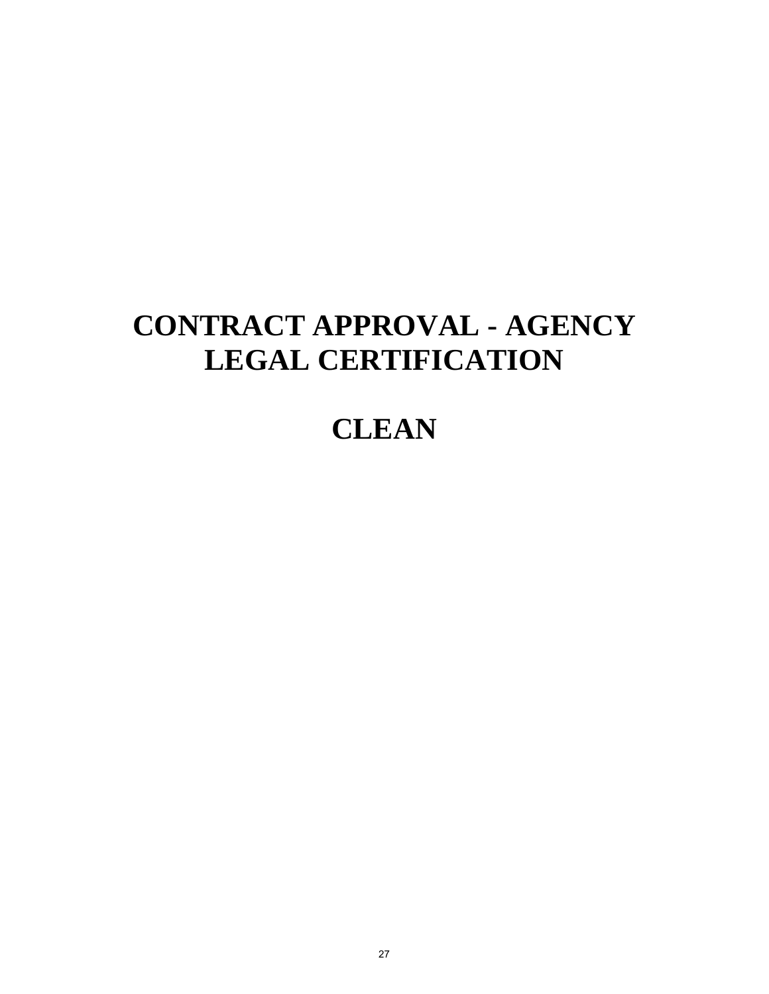# **CONTRACT APPROVAL - AGENCY LEGAL CERTIFICATION**

## **CLEAN**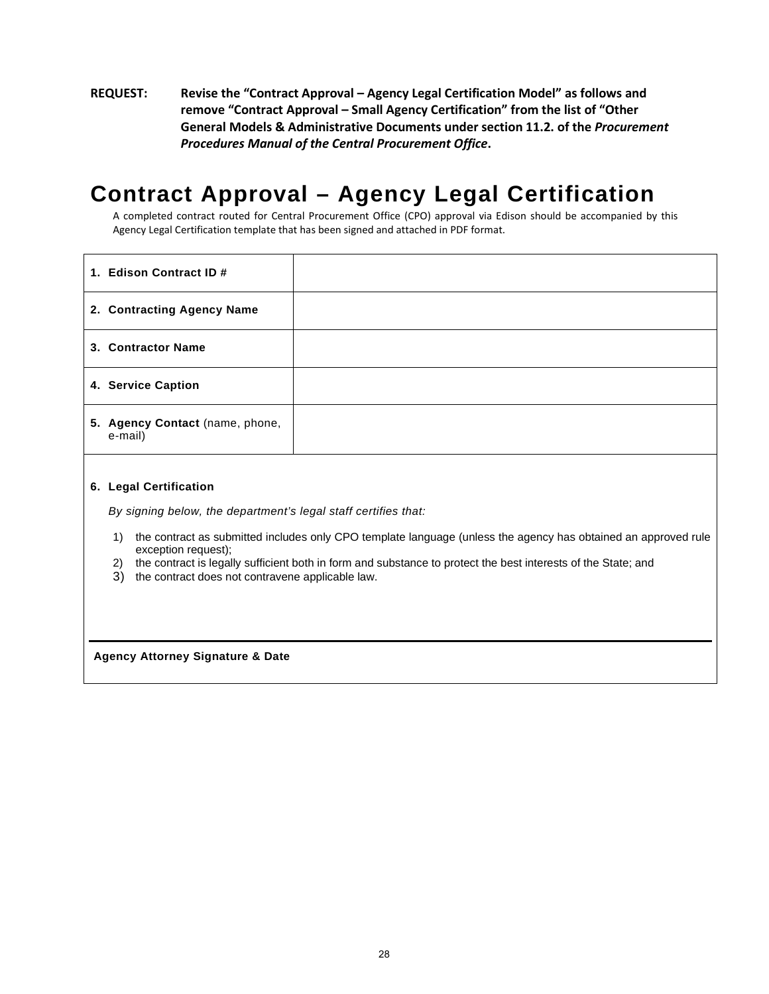### **REQUEST: Revise the "Contract Approval – Agency Legal Certification Model" as follows and remove "Contract Approval – Small Agency Certification" from the list of "Other General Models & Administrative Documents under section 11.2. of the** *Procurement Procedures Manual of the Central Procurement Office***.**

## **Contract Approval – Agency Legal Certification**

A completed contract routed for Central Procurement Office (CPO) approval via Edison should be accompanied by this Agency Legal Certification template that has been signed and attached in PDF format.

| 1. Edison Contract ID #                    |  |
|--------------------------------------------|--|
| 2. Contracting Agency Name                 |  |
| 3. Contractor Name                         |  |
| 4. Service Caption                         |  |
| 5. Agency Contact (name, phone,<br>e-mail) |  |

#### **6. Legal Certification**

*By signing below, the department's legal staff certifies that:*

- 1) the contract as submitted includes only CPO template language (unless the agency has obtained an approved rule exception request);
- 2) the contract is legally sufficient both in form and substance to protect the best interests of the State; and
- 3) the contract does not contravene applicable law.

**Agency Attorney Signature & Date**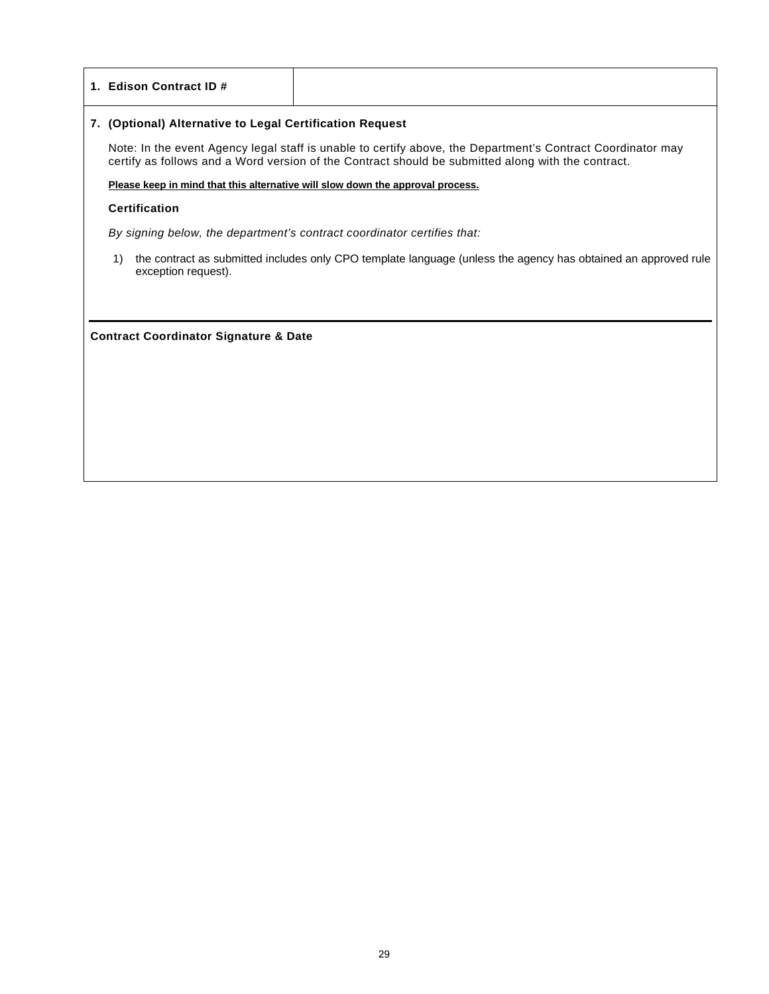#### **1. Edison Contract ID #**

#### **7. (Optional) Alternative to Legal Certification Request**

Note: In the event Agency legal staff is unable to certify above, the Department's Contract Coordinator may certify as follows and a Word version of the Contract should be submitted along with the contract.

**Please keep in mind that this alternative will slow down the approval process.**

#### **Certification**

*By signing below, the department's contract coordinator certifies that:*

1) the contract as submitted includes only CPO template language (unless the agency has obtained an approved rule exception request).

**Contract Coordinator Signature & Date**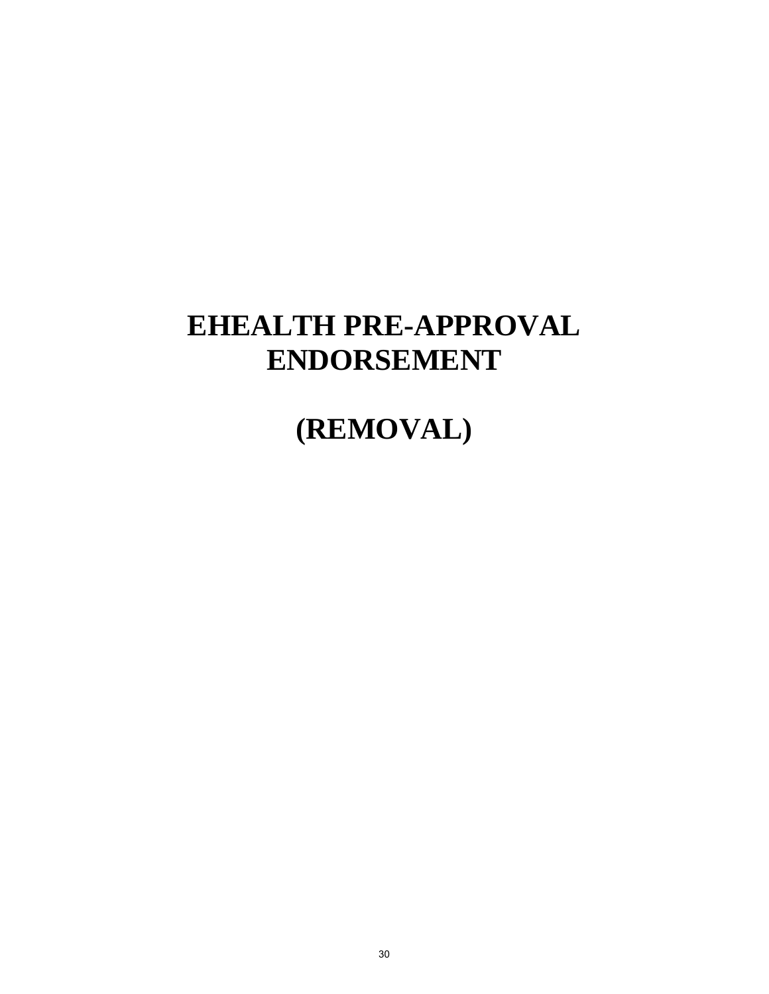## **EHEALTH PRE-APPROVAL ENDORSEMENT**

## **(REMOVAL)**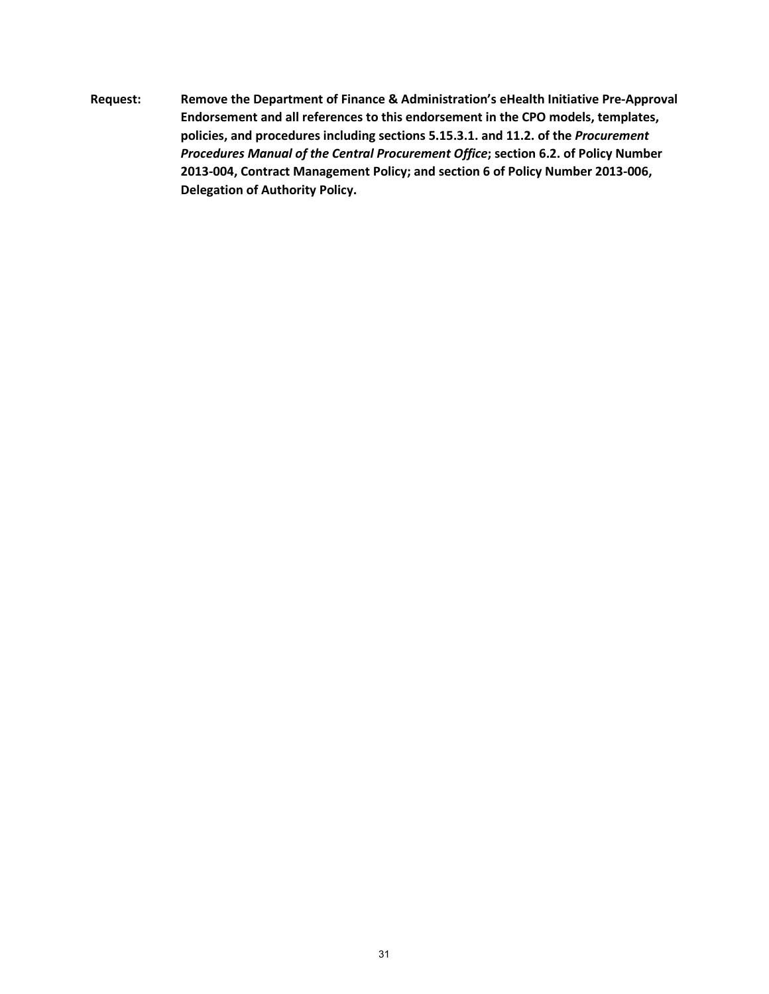**Request: Remove the Department of Finance & Administration's eHealth Initiative Pre-Approval Endorsement and all references to this endorsement in the CPO models, templates, policies, and procedures including sections 5.15.3.1. and 11.2. of the** *Procurement Procedures Manual of the Central Procurement Office***; section 6.2. of Policy Number 2013-004, Contract Management Policy; and section 6 of Policy Number 2013-006, Delegation of Authority Policy.**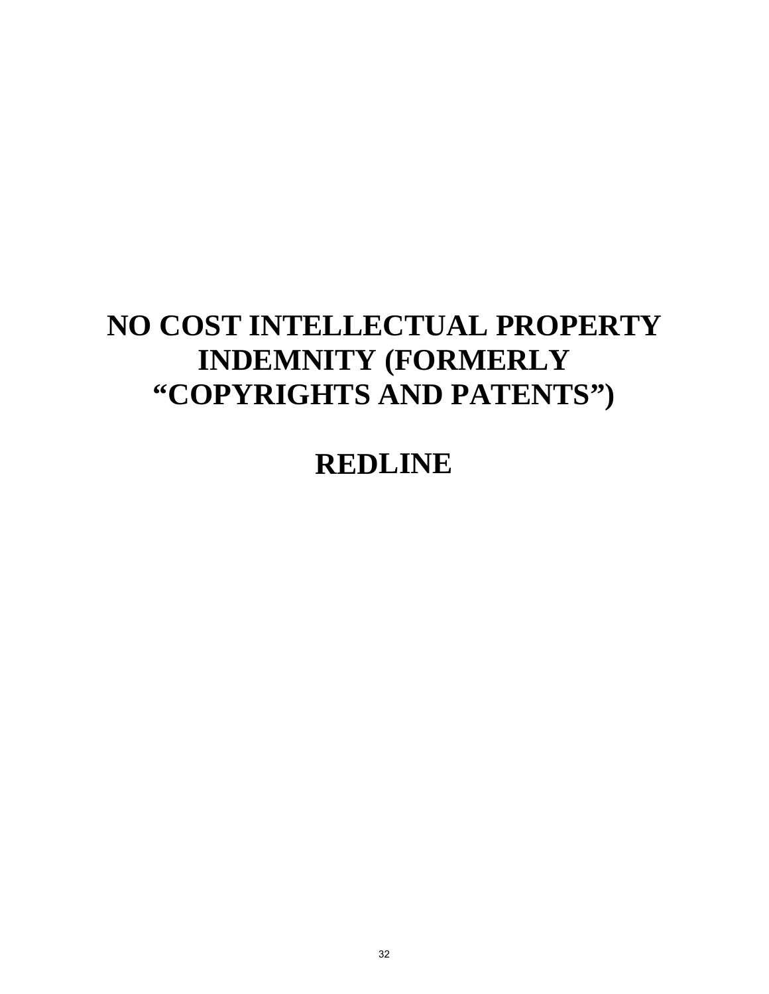# **NO COST INTELLECTUAL PROPERTY INDEMNITY (FORMERLY "COPYRIGHTS AND PATENTS")**

## **REDLINE**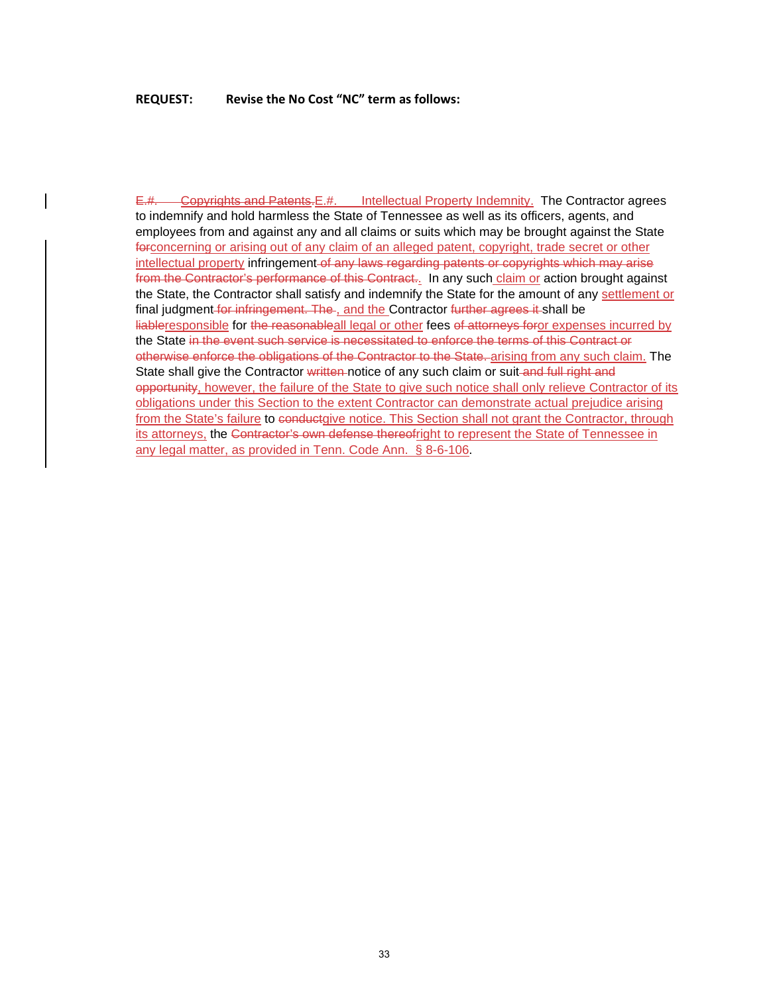### **REQUEST: Revise the No Cost "NC" term as follows:**

E.#. Copyrights and Patents. E.#. Intellectual Property Indemnity. The Contractor agrees to indemnify and hold harmless the State of Tennessee as well as its officers, agents, and employees from and against any and all claims or suits which may be brought against the State forconcerning or arising out of any claim of an alleged patent, copyright, trade secret or other intellectual property infringement of any laws regarding patents or copyrights which may arise from the Contractor's performance of this Contract.. In any such claim or action brought against the State, the Contractor shall satisfy and indemnify the State for the amount of any settlement or final judgment for infringement. The, and the Contractor further agrees it shall be liableresponsible for the reasonableall legal or other fees of attorneys foror expenses incurred by the State in the event such service is necessitated to enforce the terms of this Contract or otherwise enforce the obligations of the Contractor to the State. arising from any such claim. The State shall give the Contractor written-notice of any such claim or suit-and full right and opportunity, however, the failure of the State to give such notice shall only relieve Contractor of its obligations under this Section to the extent Contractor can demonstrate actual prejudice arising from the State's failure to conductgive notice. This Section shall not grant the Contractor, through its attorneys, the Contractor's own defense thereofright to represent the State of Tennessee in any legal matter, as provided in Tenn. Code Ann.§ 8-6-106.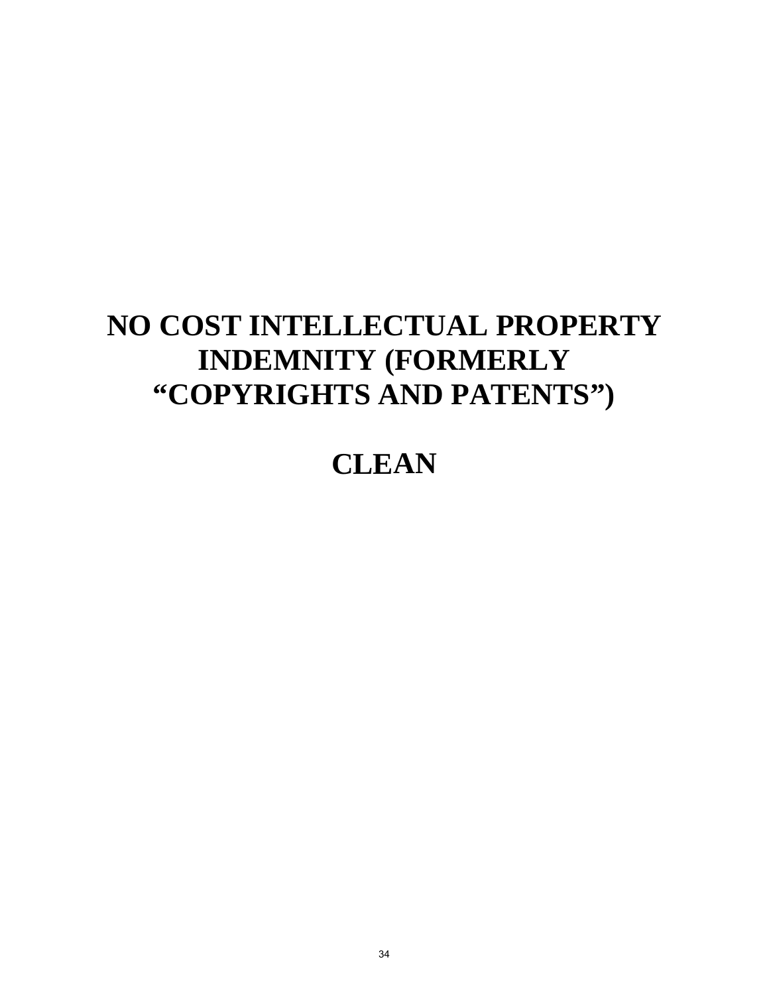# **NO COST INTELLECTUAL PROPERTY INDEMNITY (FORMERLY "COPYRIGHTS AND PATENTS")**

## **CLEAN**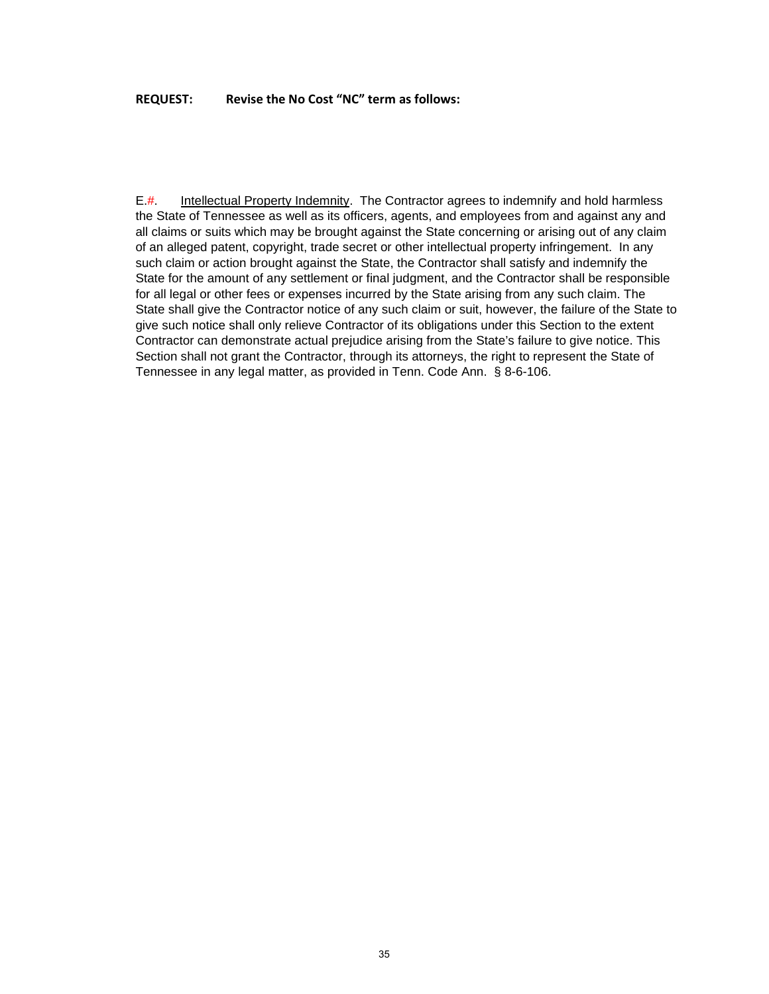### **REQUEST: Revise the No Cost "NC" term as follows:**

E.#. Intellectual Property Indemnity. The Contractor agrees to indemnify and hold harmless the State of Tennessee as well as its officers, agents, and employees from and against any and all claims or suits which may be brought against the State concerning or arising out of any claim of an alleged patent, copyright, trade secret or other intellectual property infringement. In any such claim or action brought against the State, the Contractor shall satisfy and indemnify the State for the amount of any settlement or final judgment, and the Contractor shall be responsible for all legal or other fees or expenses incurred by the State arising from any such claim. The State shall give the Contractor notice of any such claim or suit, however, the failure of the State to give such notice shall only relieve Contractor of its obligations under this Section to the extent Contractor can demonstrate actual prejudice arising from the State's failure to give notice. This Section shall not grant the Contractor, through its attorneys, the right to represent the State of Tennessee in any legal matter, as provided in Tenn. Code Ann.§ 8-6-106.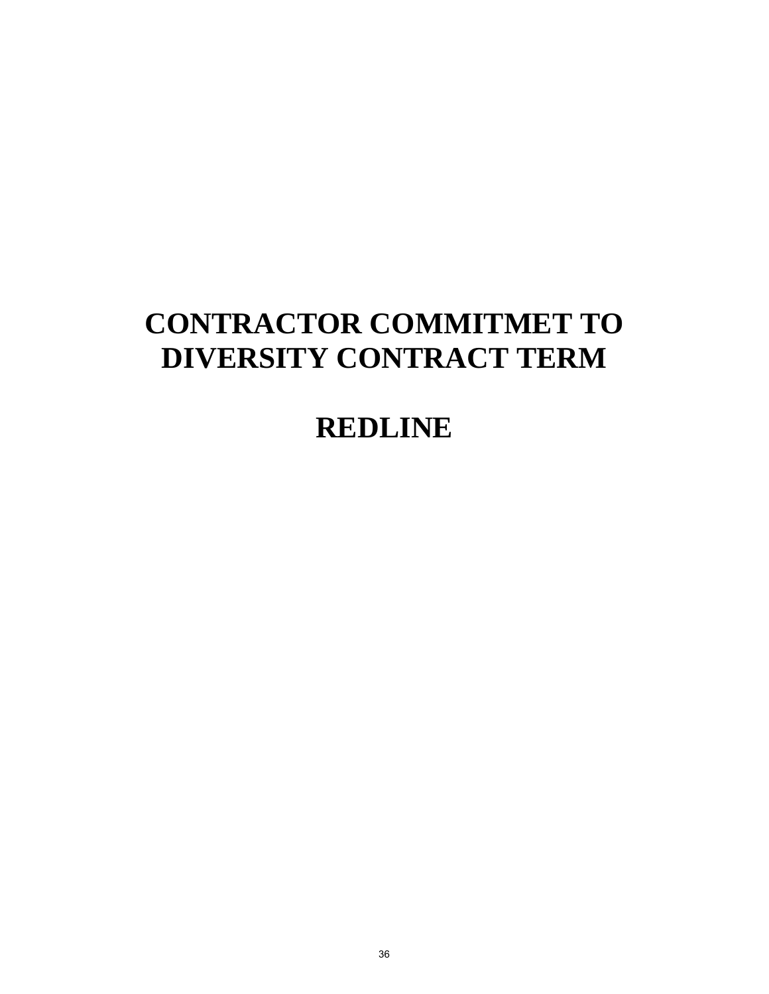## **CONTRACTOR COMMITMET TO DIVERSITY CONTRACT TERM**

## **REDLINE**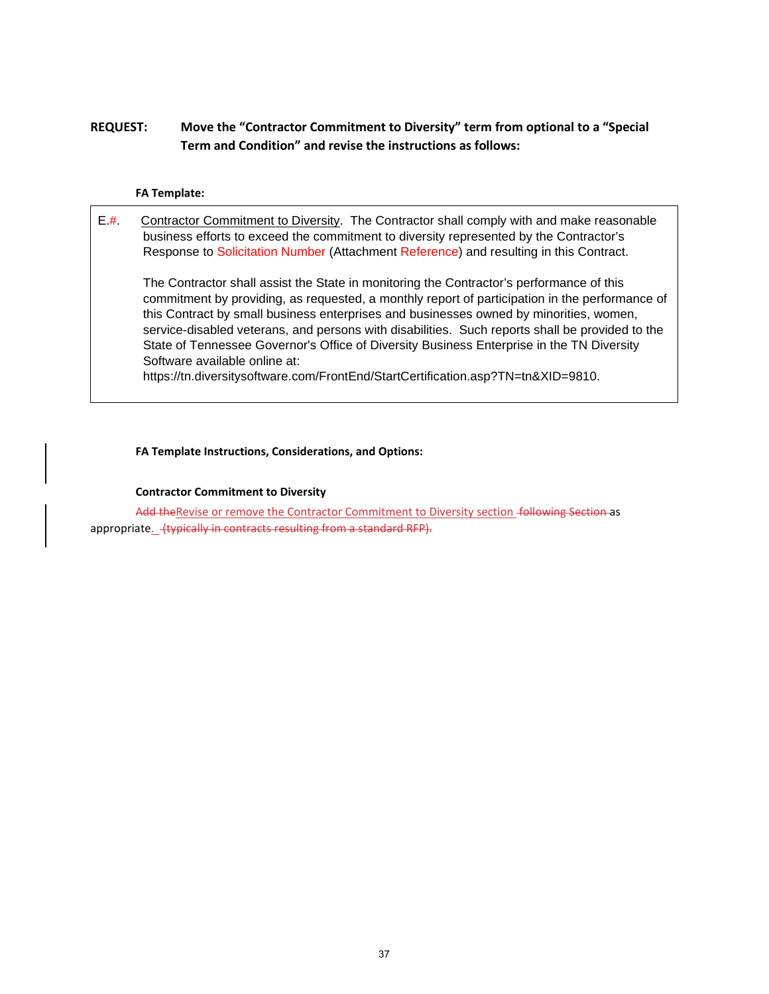### **REQUEST: Move the "Contractor Commitment to Diversity" term from optional to a "Special Term and Condition" and revise the instructions as follows:**

#### **FA Template:**

E.#. Contractor Commitment to Diversity. The Contractor shall comply with and make reasonable business efforts to exceed the commitment to diversity represented by the Contractor's Response to Solicitation Number (Attachment Reference) and resulting in this Contract.

The Contractor shall assist the State in monitoring the Contractor's performance of this commitment by providing, as requested, a monthly report of participation in the performance of this Contract by small business enterprises and businesses owned by minorities, women, service-disabled veterans, and persons with disabilities. Such reports shall be provided to the State of Tennessee Governor's Office of Diversity Business Enterprise in the TN Diversity Software available online at:

https://tn.diversitysoftware.com/FrontEnd/StartCertification.asp?TN=tn&XID=9810.

#### **FA Template Instructions, Considerations, and Options:**

#### **Contractor Commitment to Diversity**

Add the Revise or remove the Contractor Commitment to Diversity section -following Section as appropriate. (typically in contracts resulting from a standard RFP).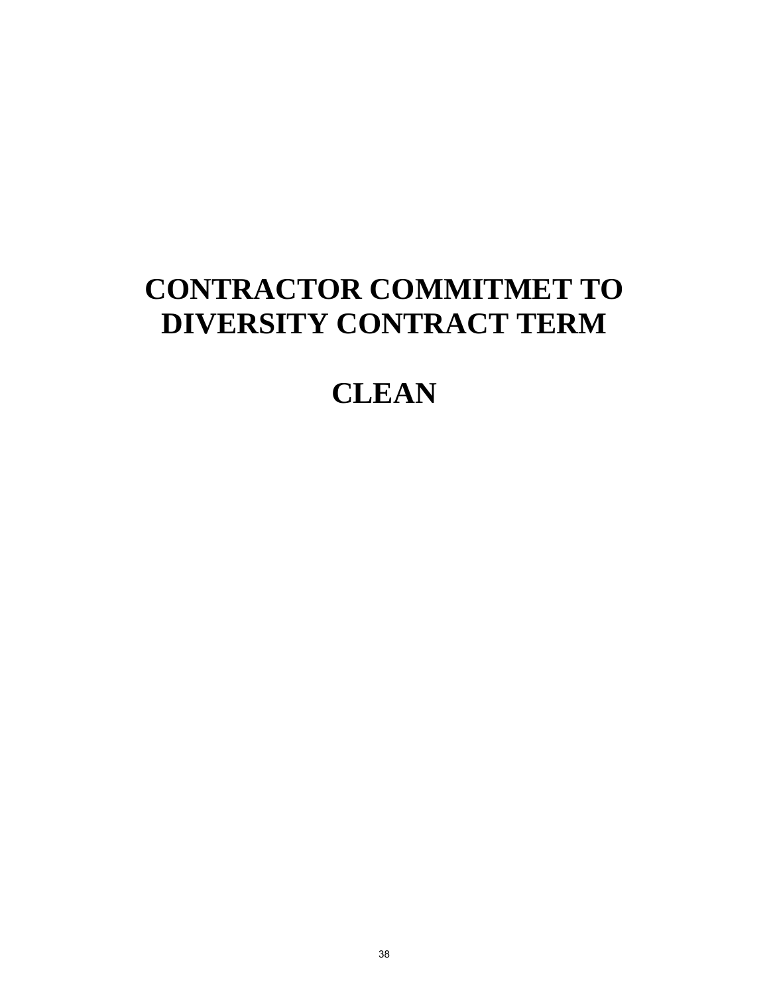## **CONTRACTOR COMMITMET TO DIVERSITY CONTRACT TERM**

## **CLEAN**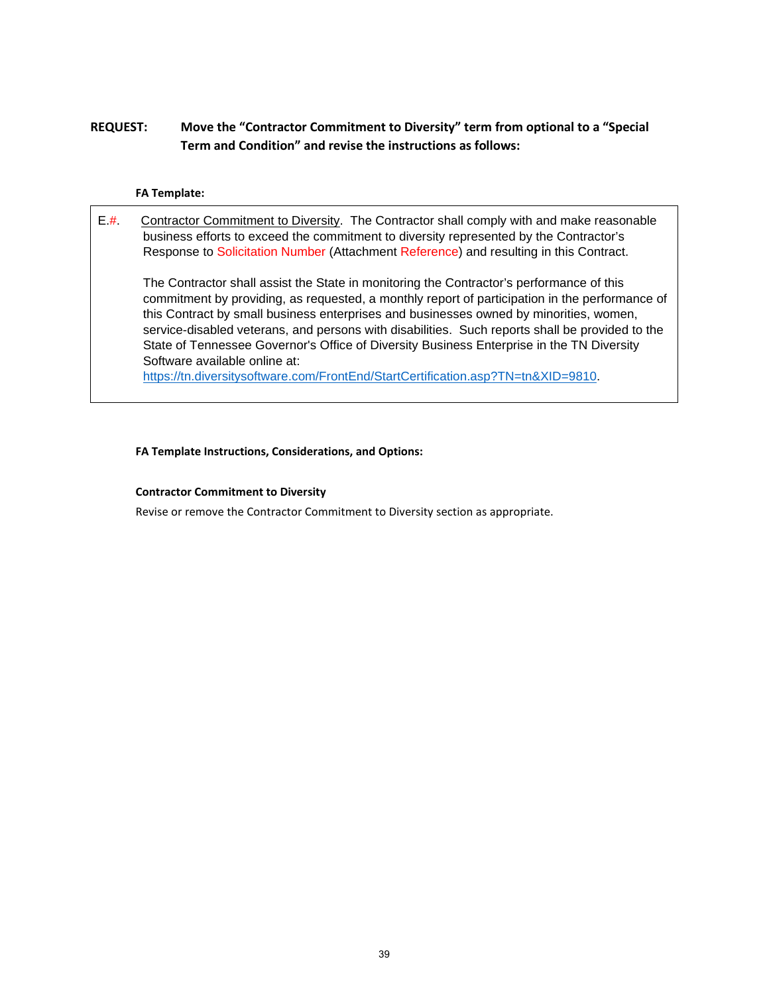### **REQUEST: Move the "Contractor Commitment to Diversity" term from optional to a "Special Term and Condition" and revise the instructions as follows:**

#### **FA Template:**

E.#. Contractor Commitment to Diversity. The Contractor shall comply with and make reasonable business efforts to exceed the commitment to diversity represented by the Contractor's Response to Solicitation Number (Attachment Reference) and resulting in this Contract. The Contractor shall assist the State in monitoring the Contractor's performance of this commitment by providing, as requested, a monthly report of participation in the performance of

this Contract by small business enterprises and businesses owned by minorities, women, service-disabled veterans, and persons with disabilities. Such reports shall be provided to the State of Tennessee Governor's Office of Diversity Business Enterprise in the TN Diversity Software available online at:

[https://tn.diversitysoftware.com/FrontEnd/StartCertification.asp?TN=tn&XID=9810.](https://tn.diversitysoftware.com/FrontEnd/StartCertification.asp?TN=tn&XID=9810)

#### **FA Template Instructions, Considerations, and Options:**

#### **Contractor Commitment to Diversity**

Revise or remove the Contractor Commitment to Diversity section as appropriate.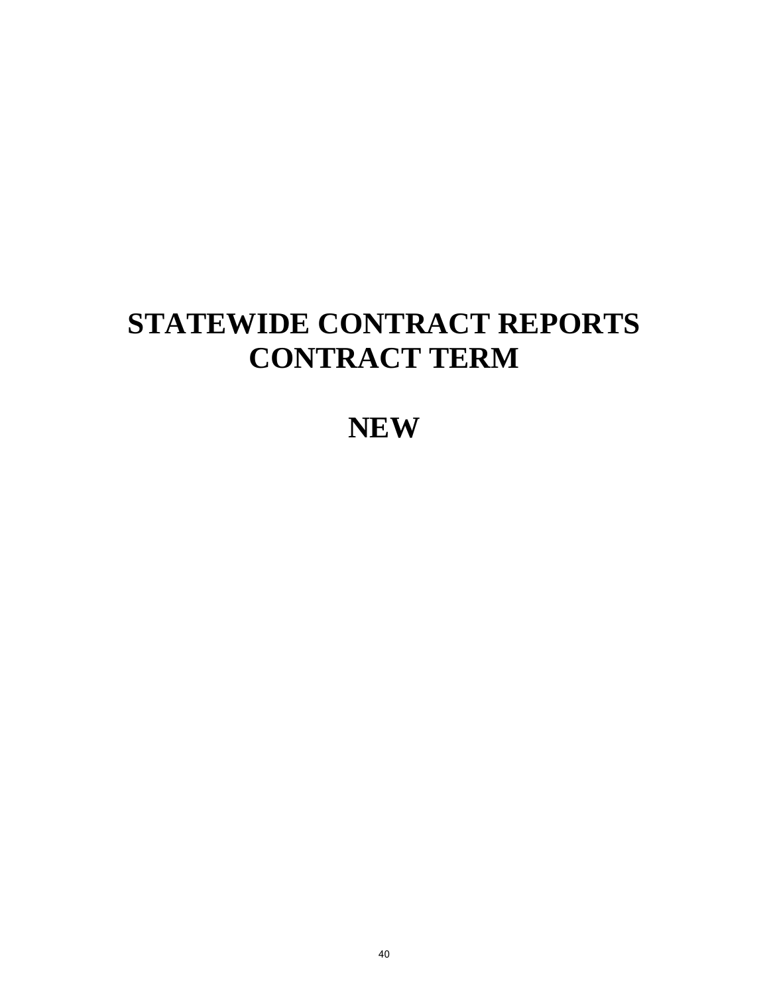## **STATEWIDE CONTRACT REPORTS CONTRACT TERM**

## **NEW**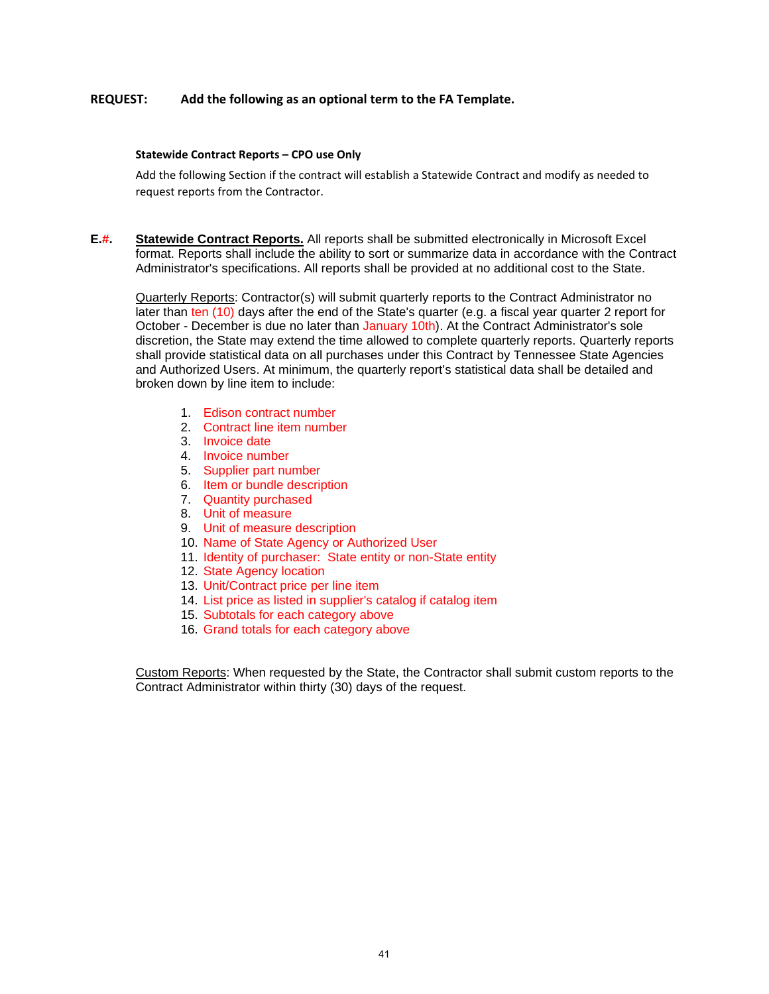#### **REQUEST: Add the following as an optional term to the FA Template.**

#### **Statewide Contract Reports – CPO use Only**

Add the following Section if the contract will establish a Statewide Contract and modify as needed to request reports from the Contractor.

**E.#. Statewide Contract Reports.** All reports shall be submitted electronically in Microsoft Excel format. Reports shall include the ability to sort or summarize data in accordance with the Contract Administrator's specifications. All reports shall be provided at no additional cost to the State.

Quarterly Reports: Contractor(s) will submit quarterly reports to the Contract Administrator no later than ten (10) days after the end of the State's quarter (e.g. a fiscal year quarter 2 report for October - December is due no later than January 10th). At the Contract Administrator's sole discretion, the State may extend the time allowed to complete quarterly reports. Quarterly reports shall provide statistical data on all purchases under this Contract by Tennessee State Agencies and Authorized Users. At minimum, the quarterly report's statistical data shall be detailed and broken down by line item to include:

- 1. Edison contract number
- 2. Contract line item number
- 3. Invoice date
- 4. Invoice number
- 5. Supplier part number
- 6. Item or bundle description
- 7. Quantity purchased
- 8. Unit of measure
- 9. Unit of measure description
- 10. Name of State Agency or Authorized User
- 11. Identity of purchaser: State entity or non-State entity
- 12. State Agency location
- 13. Unit/Contract price per line item
- 14. List price as listed in supplier's catalog if catalog item
- 15. Subtotals for each category above
- 16. Grand totals for each category above

Custom Reports: When requested by the State, the Contractor shall submit custom reports to the Contract Administrator within thirty (30) days of the request.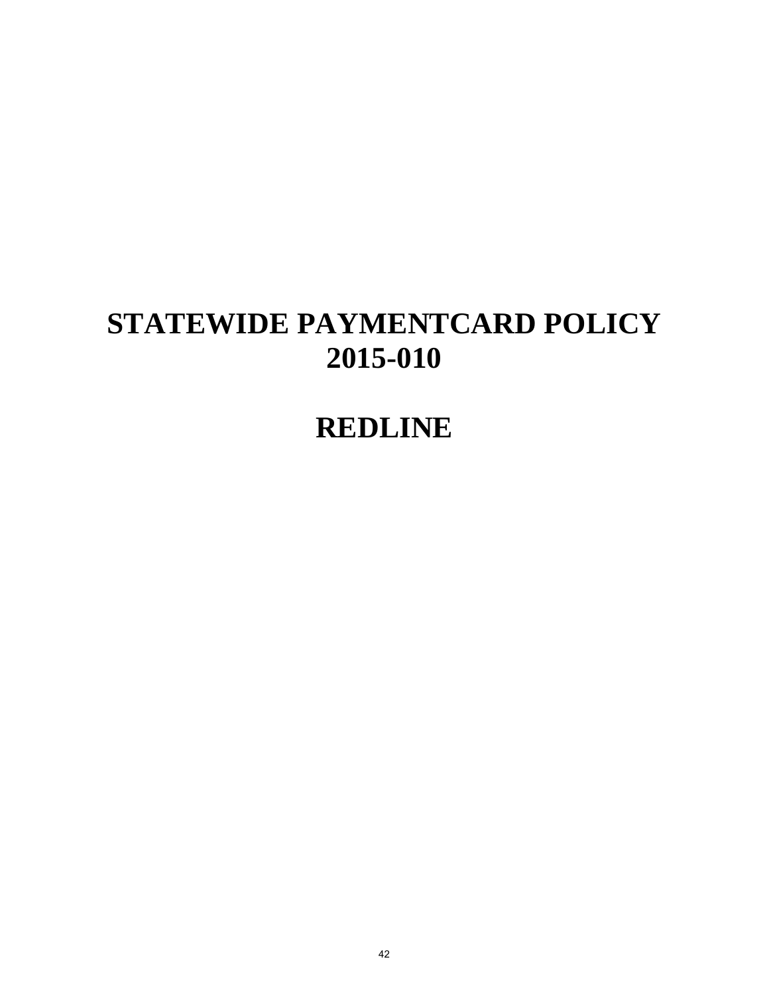## **STATEWIDE PAYMENTCARD POLICY 2015-010**

## **REDLINE**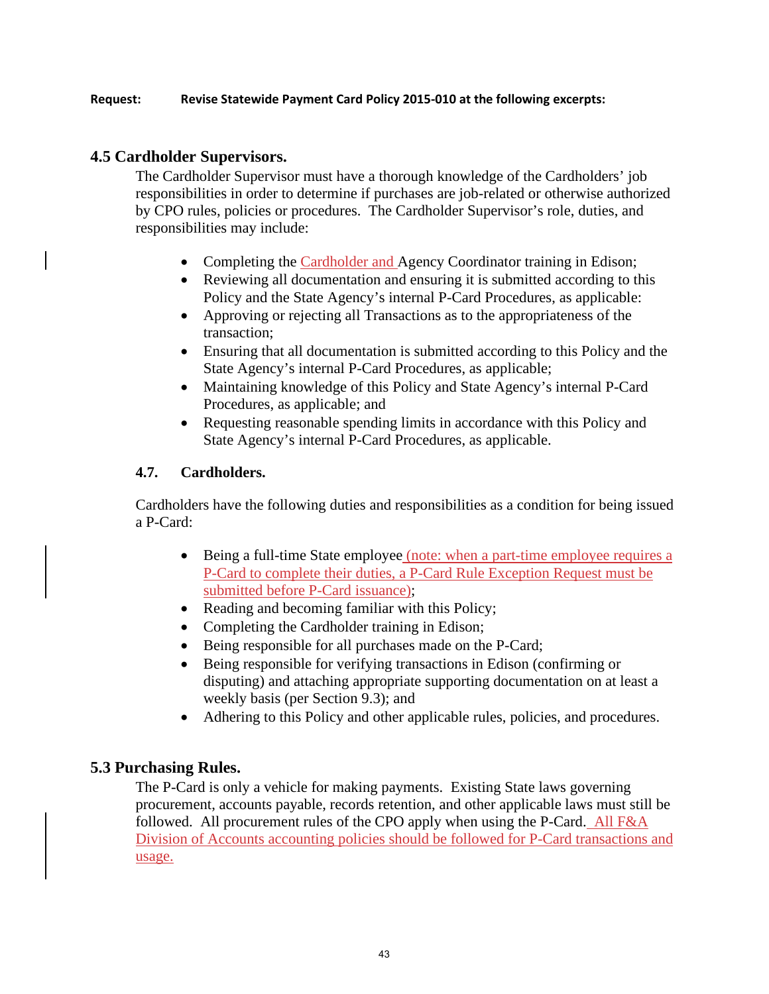#### **Request: Revise Statewide Payment Card Policy 2015-010 at the following excerpts:**

### **4.5 Cardholder Supervisors.**

The Cardholder Supervisor must have a thorough knowledge of the Cardholders' job responsibilities in order to determine if purchases are job-related or otherwise authorized by CPO rules, policies or procedures. The Cardholder Supervisor's role, duties, and responsibilities may include:

- Completing the Cardholder and Agency Coordinator training in Edison;
- Reviewing all documentation and ensuring it is submitted according to this Policy and the State Agency's internal P-Card Procedures, as applicable:
- Approving or rejecting all Transactions as to the appropriateness of the transaction;
- Ensuring that all documentation is submitted according to this Policy and the State Agency's internal P-Card Procedures, as applicable;
- Maintaining knowledge of this Policy and State Agency's internal P-Card Procedures, as applicable; and
- Requesting reasonable spending limits in accordance with this Policy and State Agency's internal P-Card Procedures, as applicable.

### **4.7. Cardholders.**

Cardholders have the following duties and responsibilities as a condition for being issued a P-Card:

- Being a full-time State employee (note: when a part-time employee requires a P-Card to complete their duties, a P-Card Rule Exception Request must be submitted before P-Card issuance);
- Reading and becoming familiar with this Policy;
- Completing the Cardholder training in Edison;
- Being responsible for all purchases made on the P-Card;
- Being responsible for verifying transactions in Edison (confirming or disputing) and attaching appropriate supporting documentation on at least a weekly basis (per Section 9.3); and
- Adhering to this Policy and other applicable rules, policies, and procedures.

### **5.3 Purchasing Rules.**

The P-Card is only a vehicle for making payments. Existing State laws governing procurement, accounts payable, records retention, and other applicable laws must still be followed. All procurement rules of the CPO apply when using the P-Card. All F&A Division of Accounts accounting policies should be followed for P-Card transactions and usage.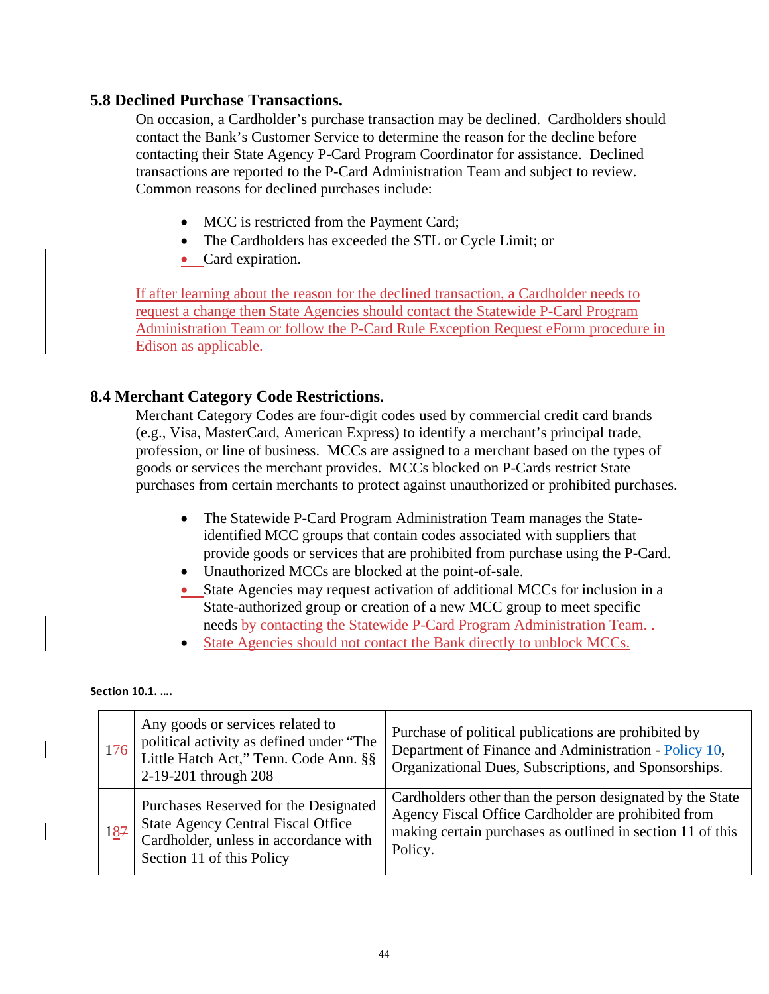### **5.8 Declined Purchase Transactions.**

On occasion, a Cardholder's purchase transaction may be declined. Cardholders should contact the Bank's Customer Service to determine the reason for the decline before contacting their State Agency P-Card Program Coordinator for assistance. Declined transactions are reported to the P-Card Administration Team and subject to review. Common reasons for declined purchases include:

- MCC is restricted from the Payment Card;
- The Cardholders has exceeded the STL or Cycle Limit; or
- Card expiration.

If after learning about the reason for the declined transaction, a Cardholder needs to request a change then State Agencies should contact the Statewide P-Card Program Administration Team or follow the P-Card Rule Exception Request eForm procedure in Edison as applicable.

### **8.4 Merchant Category Code Restrictions.**

Merchant Category Codes are four-digit codes used by commercial credit card brands (e.g., Visa, MasterCard, American Express) to identify a merchant's principal trade, profession, or line of business. MCCs are assigned to a merchant based on the types of goods or services the merchant provides. MCCs blocked on P-Cards restrict State purchases from certain merchants to protect against unauthorized or prohibited purchases.

- The Statewide P-Card Program Administration Team manages the Stateidentified MCC groups that contain codes associated with suppliers that provide goods or services that are prohibited from purchase using the P-Card.
- Unauthorized MCCs are blocked at the point-of-sale.
- State Agencies may request activation of additional MCCs for inclusion in a State-authorized group or creation of a new MCC group to meet specific needs by contacting the Statewide P-Card Program Administration Team. .
- State Agencies should not contact the Bank directly to unblock MCCs.

**Section 10.1. ….** 

| 126 | Any goods or services related to<br>political activity as defined under "The<br>Little Hatch Act," Tenn. Code Ann. §§<br>2-19-201 through 208            | Purchase of political publications are prohibited by<br>Department of Finance and Administration - Policy 10,<br>Organizational Dues, Subscriptions, and Sponsorships.                    |
|-----|----------------------------------------------------------------------------------------------------------------------------------------------------------|-------------------------------------------------------------------------------------------------------------------------------------------------------------------------------------------|
| 187 | Purchases Reserved for the Designated<br><b>State Agency Central Fiscal Office</b><br>Cardholder, unless in accordance with<br>Section 11 of this Policy | Cardholders other than the person designated by the State<br>Agency Fiscal Office Cardholder are prohibited from<br>making certain purchases as outlined in section 11 of this<br>Policy. |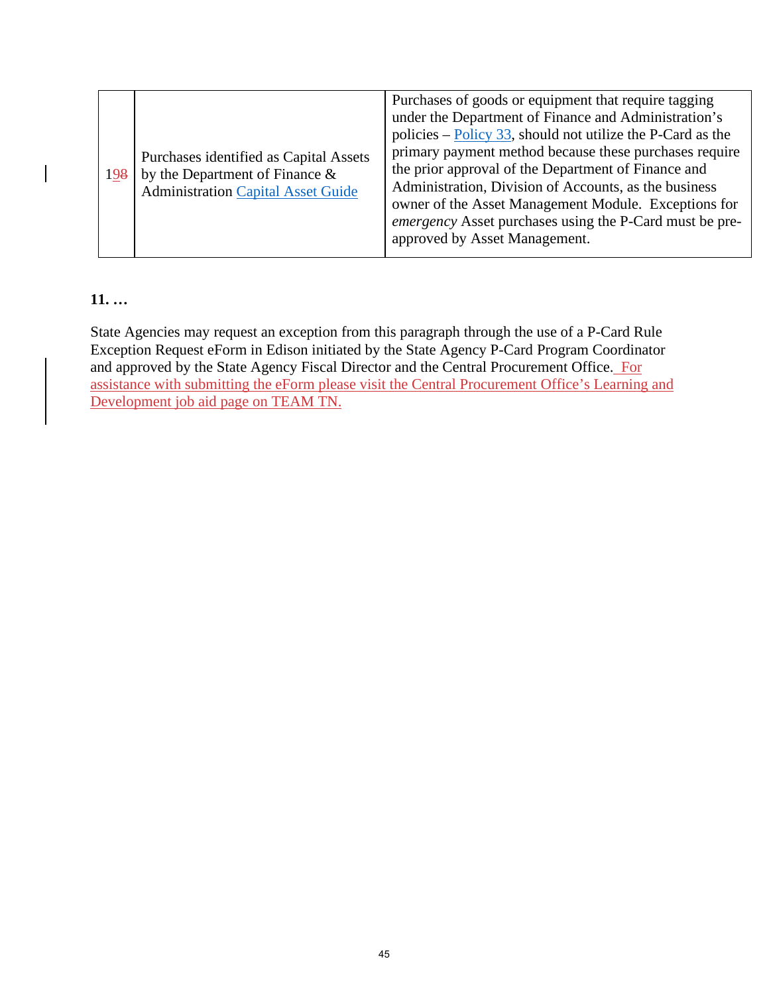### **11. …**

State Agencies may request an exception from this paragraph through the use of a P-Card Rule Exception Request eForm in Edison initiated by the State Agency P-Card Program Coordinator and approved by the State Agency Fiscal Director and the Central Procurement Office. For assistance with submitting the eForm please visit the Central Procurement Office's Learning and Development job aid page on TEAM TN.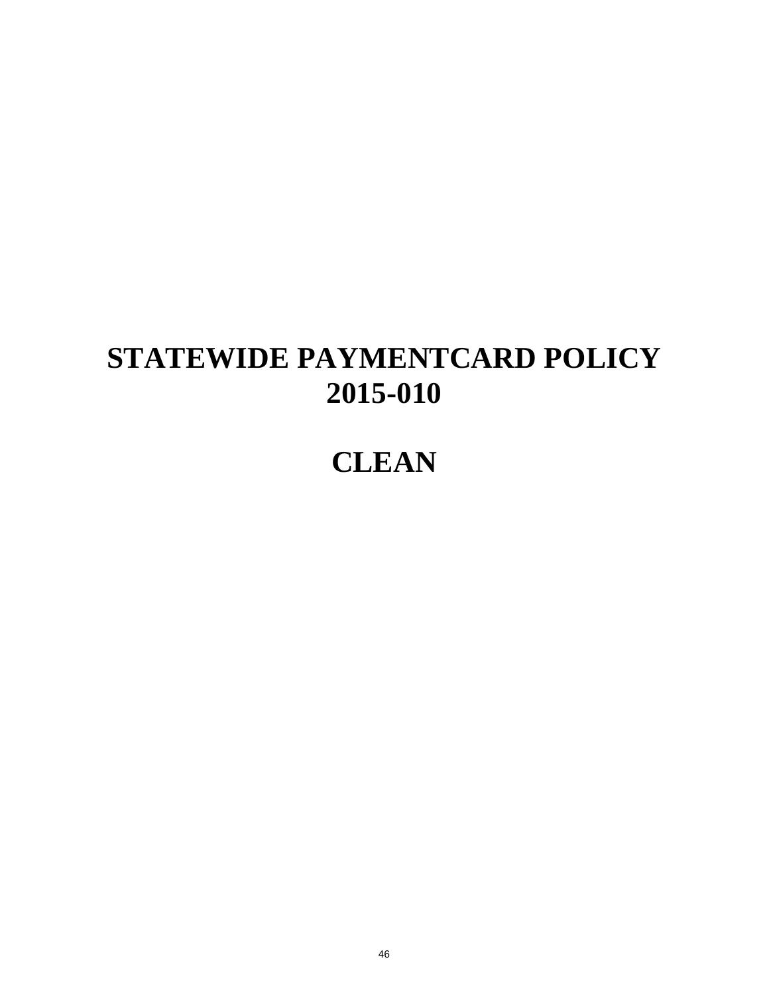## **STATEWIDE PAYMENTCARD POLICY 2015-010**

## **CLEAN**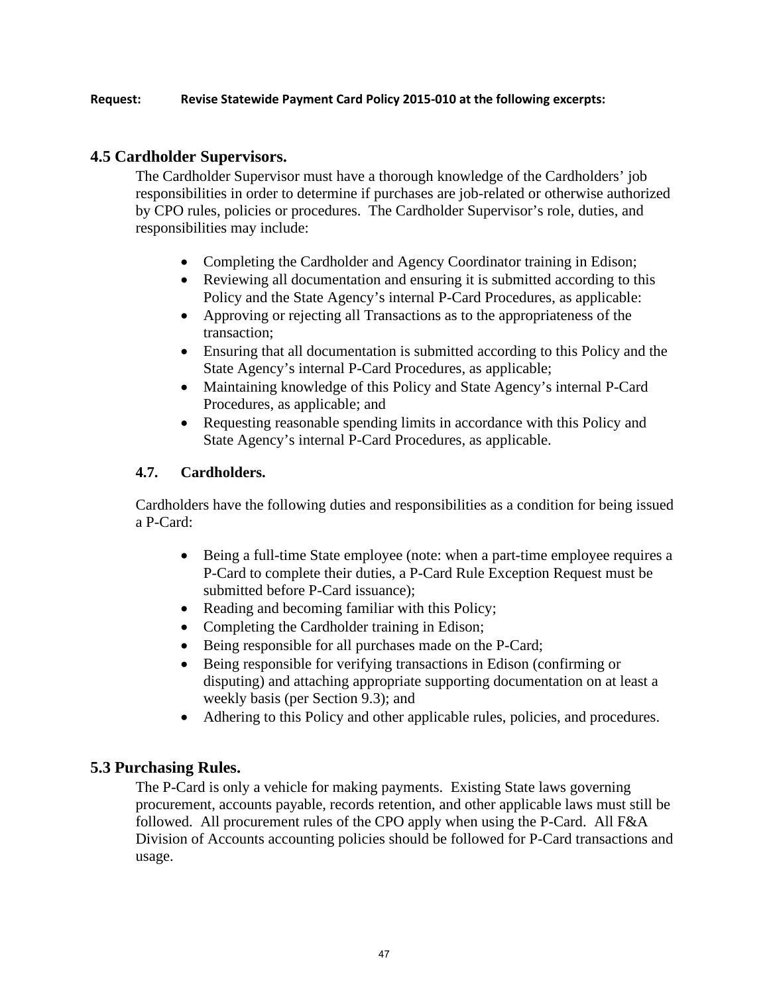#### **Request: Revise Statewide Payment Card Policy 2015-010 at the following excerpts:**

### **4.5 Cardholder Supervisors.**

The Cardholder Supervisor must have a thorough knowledge of the Cardholders' job responsibilities in order to determine if purchases are job-related or otherwise authorized by CPO rules, policies or procedures. The Cardholder Supervisor's role, duties, and responsibilities may include:

- Completing the Cardholder and Agency Coordinator training in Edison;
- Reviewing all documentation and ensuring it is submitted according to this Policy and the State Agency's internal P-Card Procedures, as applicable:
- Approving or rejecting all Transactions as to the appropriateness of the transaction;
- Ensuring that all documentation is submitted according to this Policy and the State Agency's internal P-Card Procedures, as applicable;
- Maintaining knowledge of this Policy and State Agency's internal P-Card Procedures, as applicable; and
- Requesting reasonable spending limits in accordance with this Policy and State Agency's internal P-Card Procedures, as applicable.

### **4.7. Cardholders.**

Cardholders have the following duties and responsibilities as a condition for being issued a P-Card:

- Being a full-time State employee (note: when a part-time employee requires a P-Card to complete their duties, a P-Card Rule Exception Request must be submitted before P-Card issuance);
- Reading and becoming familiar with this Policy;
- Completing the Cardholder training in Edison;
- Being responsible for all purchases made on the P-Card;
- Being responsible for verifying transactions in Edison (confirming or disputing) and attaching appropriate supporting documentation on at least a weekly basis (per Section 9.3); and
- Adhering to this Policy and other applicable rules, policies, and procedures.

### **5.3 Purchasing Rules.**

The P-Card is only a vehicle for making payments. Existing State laws governing procurement, accounts payable, records retention, and other applicable laws must still be followed. All procurement rules of the CPO apply when using the P-Card. All F&A Division of Accounts accounting policies should be followed for P-Card transactions and usage.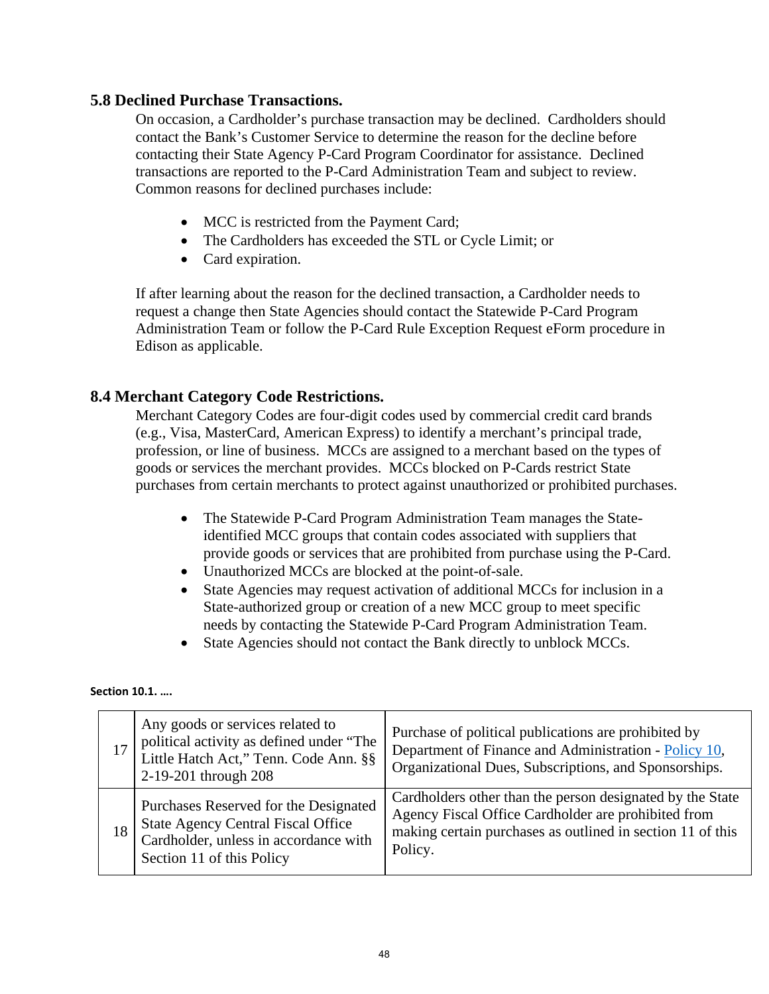### **5.8 Declined Purchase Transactions.**

On occasion, a Cardholder's purchase transaction may be declined. Cardholders should contact the Bank's Customer Service to determine the reason for the decline before contacting their State Agency P-Card Program Coordinator for assistance. Declined transactions are reported to the P-Card Administration Team and subject to review. Common reasons for declined purchases include:

- MCC is restricted from the Payment Card;
- The Cardholders has exceeded the STL or Cycle Limit; or
- Card expiration.

If after learning about the reason for the declined transaction, a Cardholder needs to request a change then State Agencies should contact the Statewide P-Card Program Administration Team or follow the P-Card Rule Exception Request eForm procedure in Edison as applicable.

### **8.4 Merchant Category Code Restrictions.**

Merchant Category Codes are four-digit codes used by commercial credit card brands (e.g., Visa, MasterCard, American Express) to identify a merchant's principal trade, profession, or line of business. MCCs are assigned to a merchant based on the types of goods or services the merchant provides. MCCs blocked on P-Cards restrict State purchases from certain merchants to protect against unauthorized or prohibited purchases.

- The Statewide P-Card Program Administration Team manages the Stateidentified MCC groups that contain codes associated with suppliers that provide goods or services that are prohibited from purchase using the P-Card.
- Unauthorized MCCs are blocked at the point-of-sale.
- State Agencies may request activation of additional MCCs for inclusion in a State-authorized group or creation of a new MCC group to meet specific needs by contacting the Statewide P-Card Program Administration Team.
- State Agencies should not contact the Bank directly to unblock MCCs.

**Section 10.1. ….** 

|    | Any goods or services related to<br>political activity as defined under "The<br>Little Hatch Act," Tenn. Code Ann. §§<br>2-19-201 through 208            | Purchase of political publications are prohibited by<br>Department of Finance and Administration - Policy 10,<br>Organizational Dues, Subscriptions, and Sponsorships.                    |
|----|----------------------------------------------------------------------------------------------------------------------------------------------------------|-------------------------------------------------------------------------------------------------------------------------------------------------------------------------------------------|
| 18 | Purchases Reserved for the Designated<br><b>State Agency Central Fiscal Office</b><br>Cardholder, unless in accordance with<br>Section 11 of this Policy | Cardholders other than the person designated by the State<br>Agency Fiscal Office Cardholder are prohibited from<br>making certain purchases as outlined in section 11 of this<br>Policy. |